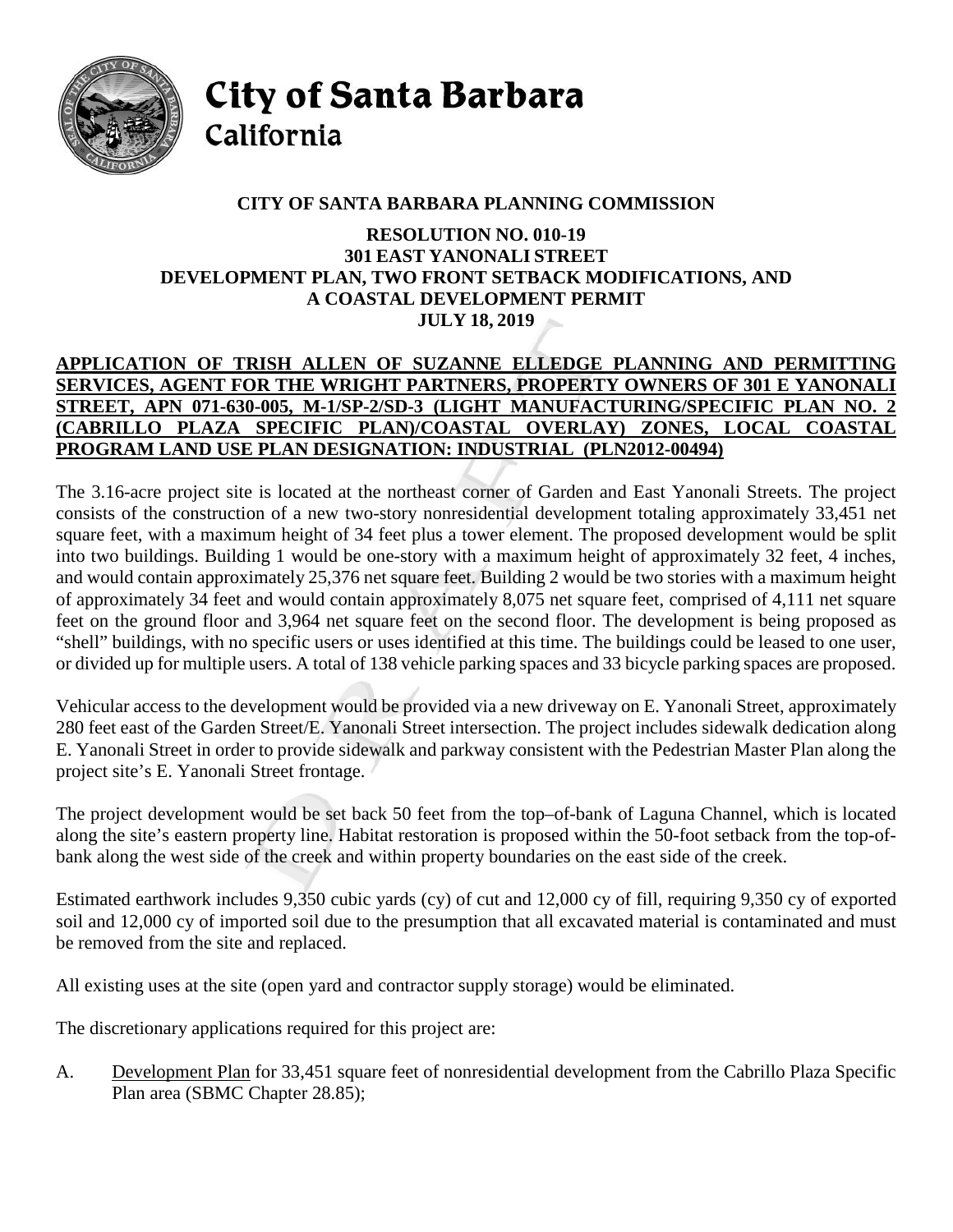

City of Santa Barbara California

# **CITY OF SANTA BARBARA PLANNING COMMISSION**

#### **RESOLUTION NO. 010-19 301 EAST YANONALI STREET DEVELOPMENT PLAN, TWO FRONT SETBACK MODIFICATIONS, AND A COASTAL DEVELOPMENT PERMIT JULY 18, 2019**

### **APPLICATION OF TRISH ALLEN OF SUZANNE ELLEDGE PLANNING AND PERMITTING SERVICES, AGENT FOR THE WRIGHT PARTNERS, PROPERTY OWNERS OF 301 E YANONALI STREET, APN 071-630-005, M-1/SP-2/SD-3 (LIGHT MANUFACTURING/SPECIFIC PLAN NO. 2 (CABRILLO PLAZA SPECIFIC PLAN)/COASTAL OVERLAY) ZONES, LOCAL COASTAL PROGRAM LAND USE PLAN DESIGNATION: INDUSTRIAL (PLN2012-00494)**

The 3.16-acre project site is located at the northeast corner of Garden and East Yanonali Streets. The project consists of the construction of a new two-story nonresidential development totaling approximately 33,451 net square feet, with a maximum height of 34 feet plus a tower element. The proposed development would be split into two buildings. Building 1 would be one-story with a maximum height of approximately 32 feet, 4 inches, and would contain approximately 25,376 net square feet. Building 2 would be two stories with a maximum height of approximately 34 feet and would contain approximately 8,075 net square feet, comprised of 4,111 net square feet on the ground floor and 3,964 net square feet on the second floor. The development is being proposed as "shell" buildings, with no specific users or uses identified at this time. The buildings could be leased to one user, or divided up for multiple users. A total of 138 vehicle parking spaces and 33 bicycle parking spaces are proposed.

Vehicular access to the development would be provided via a new driveway on E. Yanonali Street, approximately 280 feet east of the Garden Street/E. Yanonali Street intersection. The project includes sidewalk dedication along E. Yanonali Street in order to provide sidewalk and parkway consistent with the Pedestrian Master Plan along the project site's E. Yanonali Street frontage.

The project development would be set back 50 feet from the top–of-bank of Laguna Channel, which is located along the site's eastern property line. Habitat restoration is proposed within the 50-foot setback from the top-ofbank along the west side of the creek and within property boundaries on the east side of the creek.

Estimated earthwork includes 9,350 cubic yards (cy) of cut and 12,000 cy of fill, requiring 9,350 cy of exported soil and 12,000 cy of imported soil due to the presumption that all excavated material is contaminated and must be removed from the site and replaced.

All existing uses at the site (open yard and contractor supply storage) would be eliminated.

The discretionary applications required for this project are:

A. Development Plan for 33,451 square feet of nonresidential development from the Cabrillo Plaza Specific Plan area (SBMC Chapter 28.85);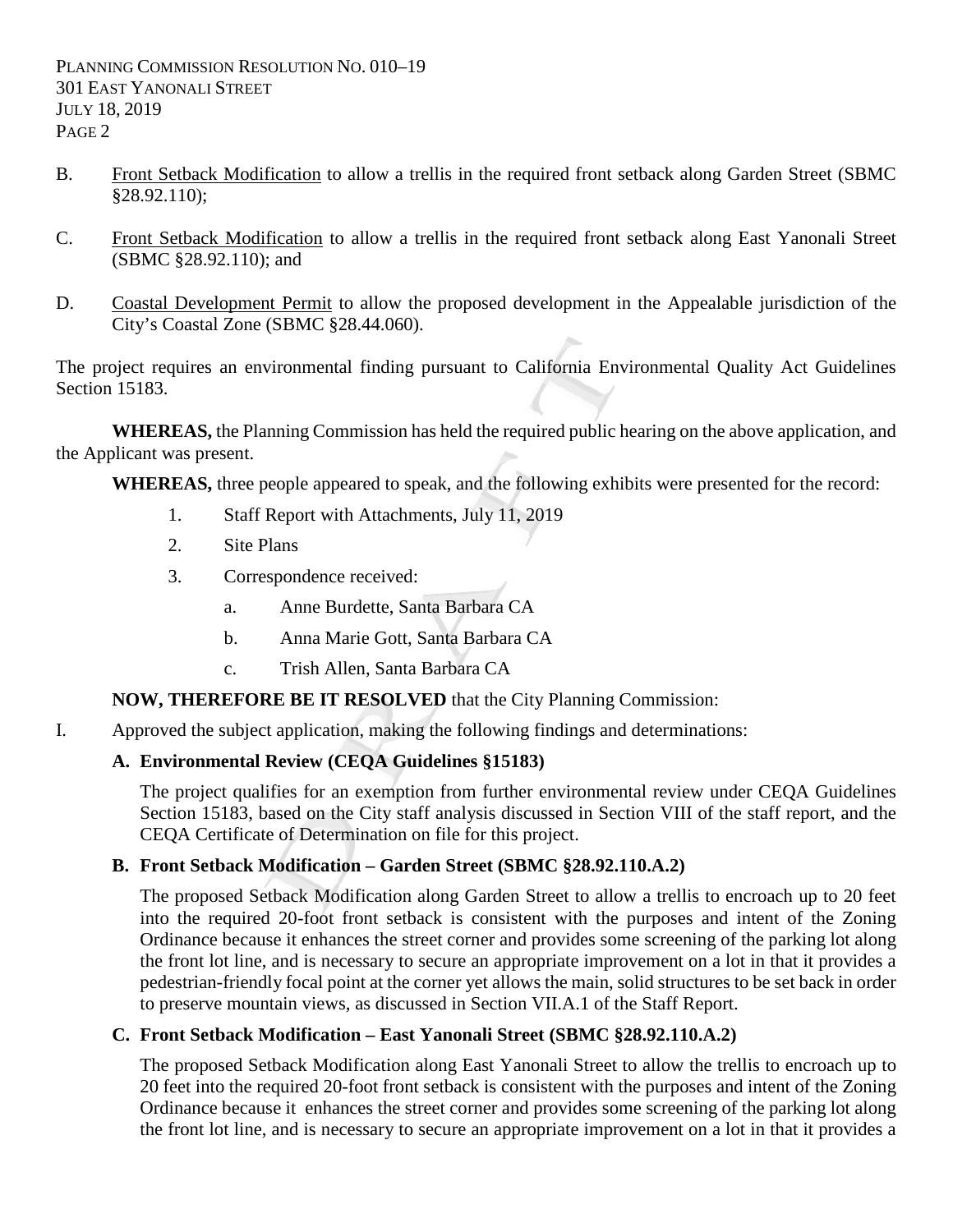- B. Front Setback Modification to allow a trellis in the required front setback along Garden Street (SBMC §28.92.110);
- C. Front Setback Modification to allow a trellis in the required front setback along East Yanonali Street (SBMC §28.92.110); and
- D. Coastal Development Permit to allow the proposed development in the Appealable jurisdiction of the City's Coastal Zone (SBMC §28.44.060).

The project requires an environmental finding pursuant to California Environmental Quality Act Guidelines Section 15183

**WHEREAS,** the Planning Commission has held the required public hearing on the above application, and the Applicant was present.

**WHEREAS,** three people appeared to speak, and the following exhibits were presented for the record:

- 1. Staff Report with Attachments, July 11, 2019
- 2. Site Plans
- 3. Correspondence received:
	- a. Anne Burdette, Santa Barbara CA
	- b. Anna Marie Gott, Santa Barbara CA
	- c. Trish Allen, Santa Barbara CA

#### **NOW, THEREFORE BE IT RESOLVED** that the City Planning Commission:

I. Approved the subject application, making the following findings and determinations:

# **A. Environmental Review (CEQA Guidelines §15183)**

The project qualifies for an exemption from further environmental review under CEQA Guidelines Section 15183, based on the City staff analysis discussed in Section VIII of the staff report, and the CEQA Certificate of Determination on file for this project.

#### **B. Front Setback Modification – Garden Street (SBMC §28.92.110.A.2)**

The proposed Setback Modification along Garden Street to allow a trellis to encroach up to 20 feet into the required 20-foot front setback is consistent with the purposes and intent of the Zoning Ordinance because it enhances the street corner and provides some screening of the parking lot along the front lot line, and is necessary to secure an appropriate improvement on a lot in that it provides a pedestrian-friendly focal point at the corner yet allows the main, solid structures to be set back in order to preserve mountain views, as discussed in Section VII.A.1 of the Staff Report.

# **C. Front Setback Modification – East Yanonali Street (SBMC §28.92.110.A.2)**

The proposed Setback Modification along East Yanonali Street to allow the trellis to encroach up to 20 feet into the required 20-foot front setback is consistent with the purposes and intent of the Zoning Ordinance because it enhances the street corner and provides some screening of the parking lot along the front lot line, and is necessary to secure an appropriate improvement on a lot in that it provides a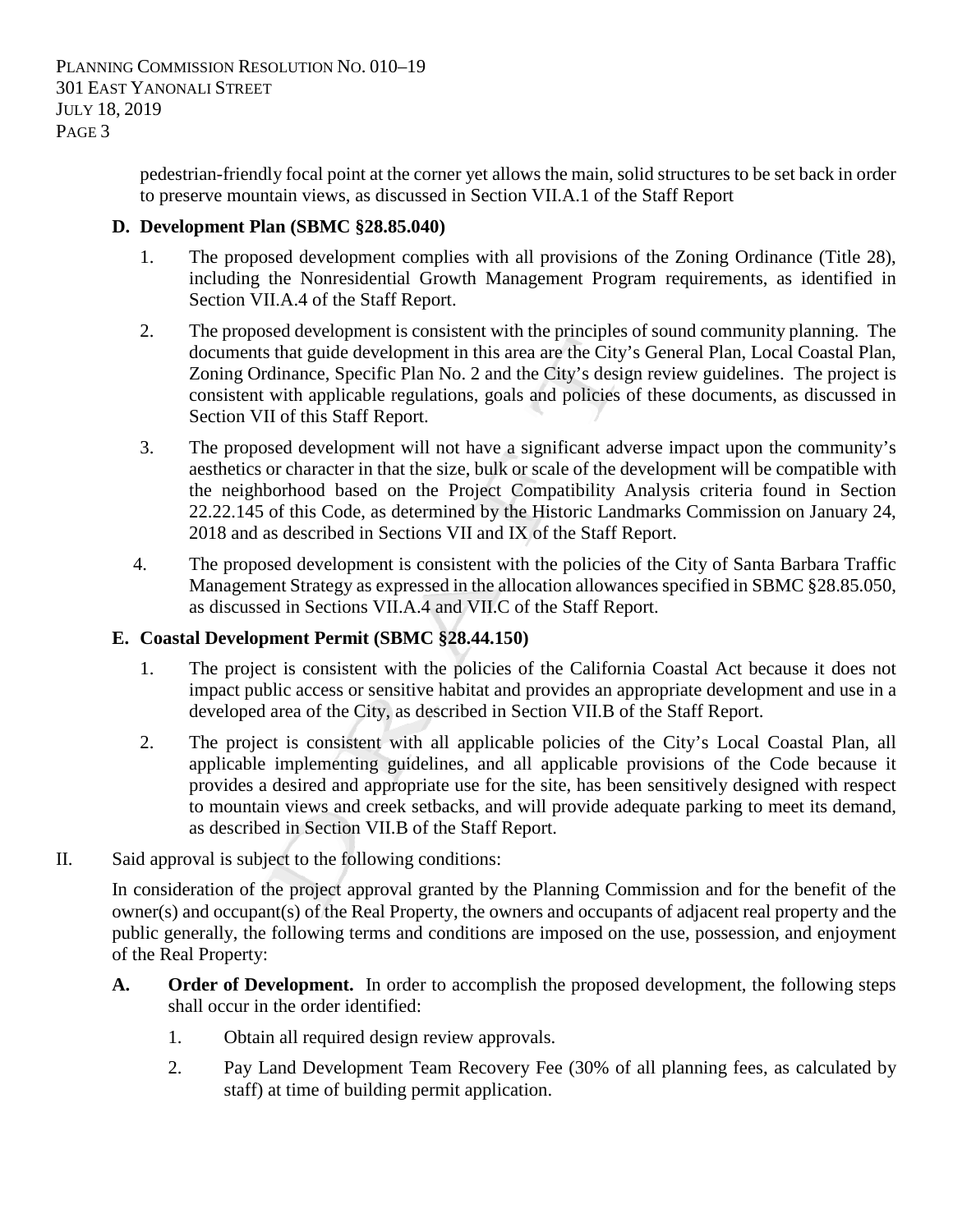> pedestrian-friendly focal point at the corner yet allows the main, solid structures to be set back in order to preserve mountain views, as discussed in Section VII.A.1 of the Staff Report

## **D. Development Plan (SBMC §28.85.040)**

- 1. The proposed development complies with all provisions of the Zoning Ordinance (Title 28), including the Nonresidential Growth Management Program requirements, as identified in Section VII.A.4 of the Staff Report.
- 2. The proposed development is consistent with the principles of sound community planning. The documents that guide development in this area are the City's General Plan, Local Coastal Plan, Zoning Ordinance, Specific Plan No. 2 and the City's design review guidelines. The project is consistent with applicable regulations, goals and policies of these documents, as discussed in Section VII of this Staff Report.
- 3. The proposed development will not have a significant adverse impact upon the community's aesthetics or character in that the size, bulk or scale of the development will be compatible with the neighborhood based on the Project Compatibility Analysis criteria found in Section 22.22.145 of this Code, as determined by the Historic Landmarks Commission on January 24, 2018 and as described in Sections VII and IX of the Staff Report.
- 4. The proposed development is consistent with the policies of the City of Santa Barbara Traffic Management Strategy as expressed in the allocation allowances specified in SBMC §28.85.050, as discussed in Sections VII.A.4 and VII.C of the Staff Report.

#### **E. Coastal Development Permit (SBMC §28.44.150)**

- 1. The project is consistent with the policies of the California Coastal Act because it does not impact public access or sensitive habitat and provides an appropriate development and use in a developed area of the City, as described in Section VII.B of the Staff Report.
- 2. The project is consistent with all applicable policies of the City's Local Coastal Plan, all applicable implementing guidelines, and all applicable provisions of the Code because it provides a desired and appropriate use for the site, has been sensitively designed with respect to mountain views and creek setbacks, and will provide adequate parking to meet its demand, as described in Section VII.B of the Staff Report.
- II. Said approval is subject to the following conditions:

In consideration of the project approval granted by the Planning Commission and for the benefit of the owner(s) and occupant(s) of the Real Property, the owners and occupants of adjacent real property and the public generally, the following terms and conditions are imposed on the use, possession, and enjoyment of the Real Property:

- **A. Order of Development.** In order to accomplish the proposed development, the following steps shall occur in the order identified:
	- 1. Obtain all required design review approvals.
	- 2. Pay Land Development Team Recovery Fee (30% of all planning fees, as calculated by staff) at time of building permit application.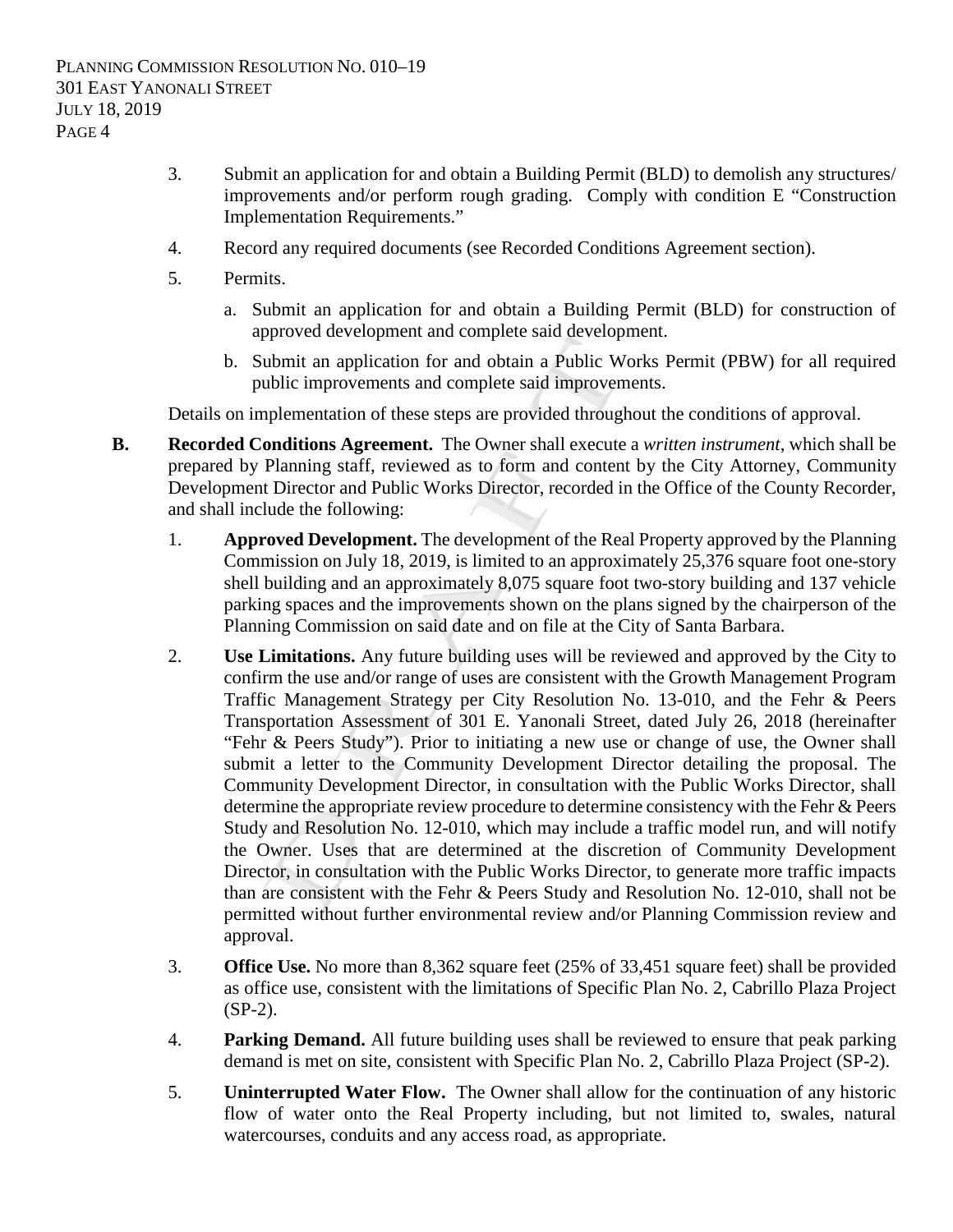- 3. Submit an application for and obtain a Building Permit (BLD) to demolish any structures/ improvements and/or perform rough grading. Comply with condition E "Construction Implementation Requirements."
- 4. Record any required documents (see Recorded Conditions Agreement section).
- 5. Permits.
	- a. Submit an application for and obtain a Building Permit (BLD) for construction of approved development and complete said development.
	- b. Submit an application for and obtain a Public Works Permit (PBW) for all required public improvements and complete said improvements.

Details on implementation of these steps are provided throughout the conditions of approval.

- **B. Recorded Conditions Agreement.** The Owner shall execute a *written instrument*, which shall be prepared by Planning staff, reviewed as to form and content by the City Attorney, Community Development Director and Public Works Director, recorded in the Office of the County Recorder, and shall include the following:
	- 1. **Approved Development.** The development of the Real Property approved by the Planning Commission on July 18, 2019, is limited to an approximately 25,376 square foot one-story shell building and an approximately 8,075 square foot two-story building and 137 vehicle parking spaces and the improvements shown on the plans signed by the chairperson of the Planning Commission on said date and on file at the City of Santa Barbara.
	- 2. **Use Limitations.** Any future building uses will be reviewed and approved by the City to confirm the use and/or range of uses are consistent with the Growth Management Program Traffic Management Strategy per City Resolution No. 13-010, and the Fehr & Peers Transportation Assessment of 301 E. Yanonali Street, dated July 26, 2018 (hereinafter "Fehr & Peers Study"). Prior to initiating a new use or change of use, the Owner shall submit a letter to the Community Development Director detailing the proposal. The Community Development Director, in consultation with the Public Works Director, shall determine the appropriate review procedure to determine consistency with the Fehr & Peers Study and Resolution No. 12-010, which may include a traffic model run, and will notify the Owner. Uses that are determined at the discretion of Community Development Director, in consultation with the Public Works Director, to generate more traffic impacts than are consistent with the Fehr & Peers Study and Resolution No. 12-010, shall not be permitted without further environmental review and/or Planning Commission review and approval.
	- 3. **Office Use.** No more than 8,362 square feet (25% of 33,451 square feet) shall be provided as office use, consistent with the limitations of Specific Plan No. 2, Cabrillo Plaza Project (SP-2).
	- 4. **Parking Demand.** All future building uses shall be reviewed to ensure that peak parking demand is met on site, consistent with Specific Plan No. 2, Cabrillo Plaza Project (SP-2).
	- 5. **Uninterrupted Water Flow.** The Owner shall allow for the continuation of any historic flow of water onto the Real Property including, but not limited to, swales, natural watercourses, conduits and any access road, as appropriate.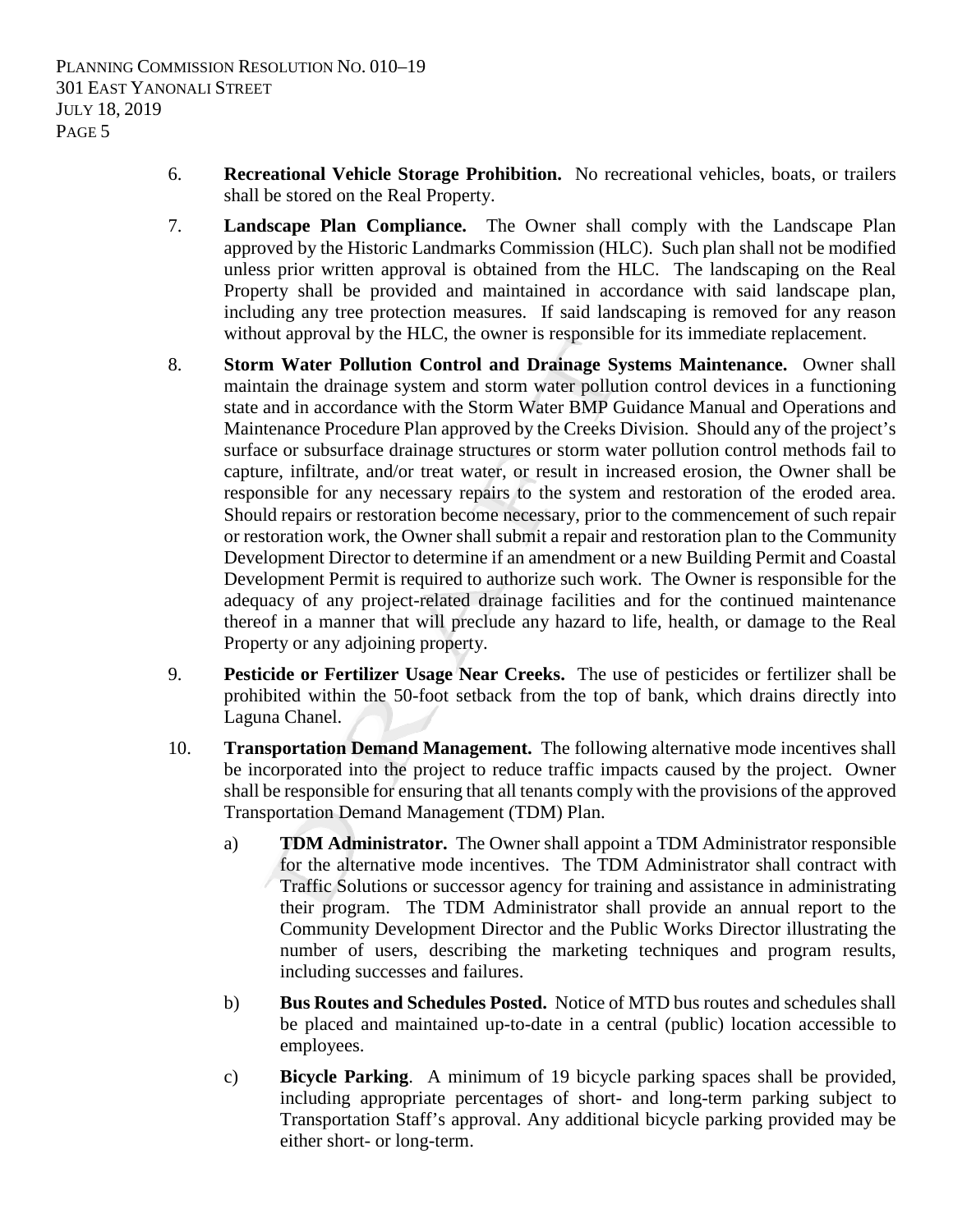- 6. **Recreational Vehicle Storage Prohibition.** No recreational vehicles, boats, or trailers shall be stored on the Real Property.
- 7. **Landscape Plan Compliance.** The Owner shall comply with the Landscape Plan approved by the Historic Landmarks Commission (HLC). Such plan shall not be modified unless prior written approval is obtained from the HLC. The landscaping on the Real Property shall be provided and maintained in accordance with said landscape plan, including any tree protection measures. If said landscaping is removed for any reason without approval by the HLC, the owner is responsible for its immediate replacement.
- 8. **Storm Water Pollution Control and Drainage Systems Maintenance.** Owner shall maintain the drainage system and storm water pollution control devices in a functioning state and in accordance with the Storm Water BMP Guidance Manual and Operations and Maintenance Procedure Plan approved by the Creeks Division. Should any of the project's surface or subsurface drainage structures or storm water pollution control methods fail to capture, infiltrate, and/or treat water, or result in increased erosion, the Owner shall be responsible for any necessary repairs to the system and restoration of the eroded area. Should repairs or restoration become necessary, prior to the commencement of such repair or restoration work, the Owner shall submit a repair and restoration plan to the Community Development Director to determine if an amendment or a new Building Permit and Coastal Development Permit is required to authorize such work. The Owner is responsible for the adequacy of any project-related drainage facilities and for the continued maintenance thereof in a manner that will preclude any hazard to life, health, or damage to the Real Property or any adjoining property.
- 9. **Pesticide or Fertilizer Usage Near Creeks.** The use of pesticides or fertilizer shall be prohibited within the 50-foot setback from the top of bank, which drains directly into Laguna Chanel.
- 10. **Transportation Demand Management.** The following alternative mode incentives shall be incorporated into the project to reduce traffic impacts caused by the project. Owner shall be responsible for ensuring that all tenants comply with the provisions of the approved Transportation Demand Management (TDM) Plan.
	- a) **TDM Administrator.** The Owner shall appoint a TDM Administrator responsible for the alternative mode incentives. The TDM Administrator shall contract with Traffic Solutions or successor agency for training and assistance in administrating their program. The TDM Administrator shall provide an annual report to the Community Development Director and the Public Works Director illustrating the number of users, describing the marketing techniques and program results, including successes and failures.
	- b) **Bus Routes and Schedules Posted.** Notice of MTD bus routes and schedules shall be placed and maintained up-to-date in a central (public) location accessible to employees.
	- c) **Bicycle Parking**. A minimum of 19 bicycle parking spaces shall be provided, including appropriate percentages of short- and long-term parking subject to Transportation Staff's approval. Any additional bicycle parking provided may be either short- or long-term.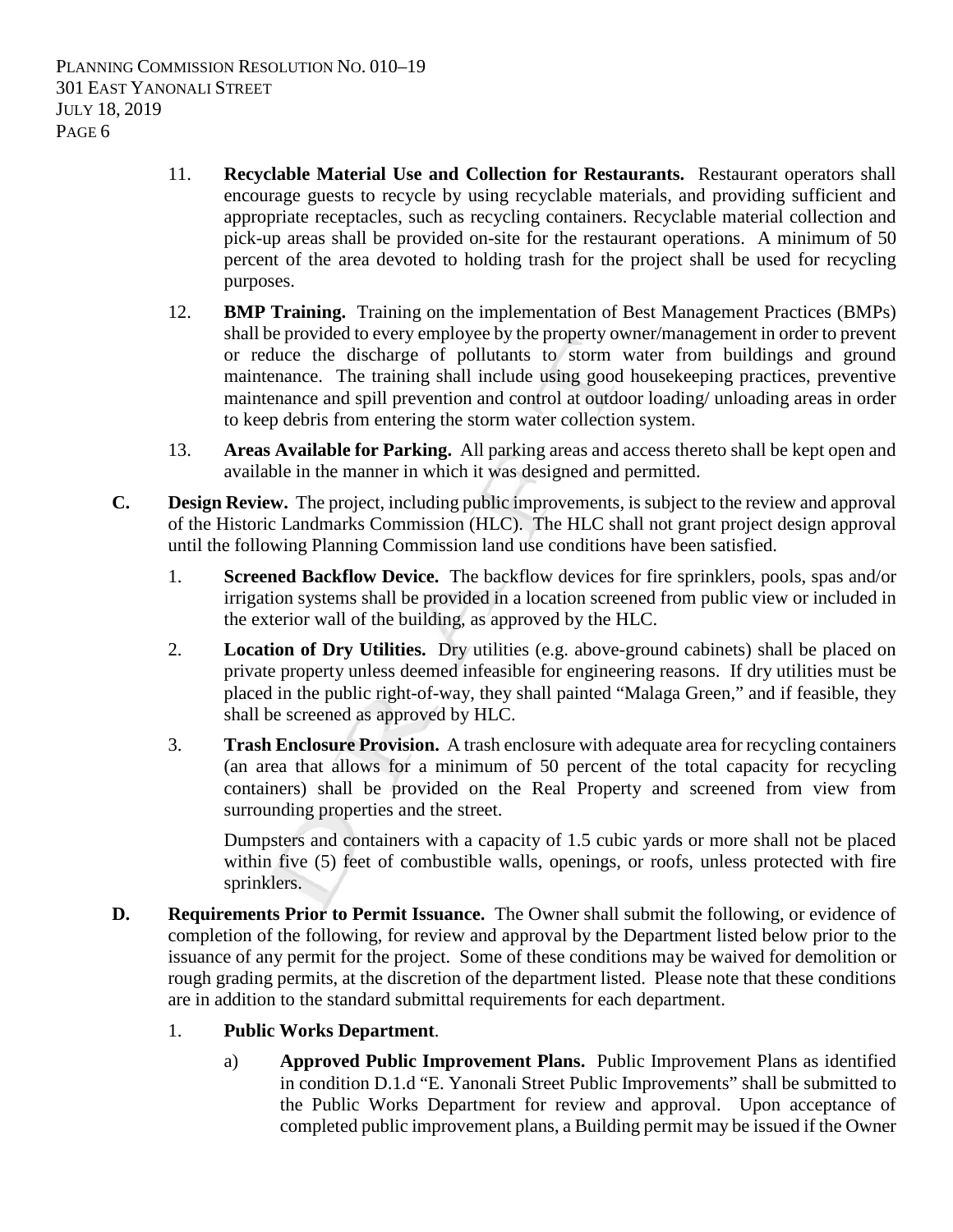- 11. **Recyclable Material Use and Collection for Restaurants.** Restaurant operators shall encourage guests to recycle by using recyclable materials, and providing sufficient and appropriate receptacles, such as recycling containers. Recyclable material collection and pick-up areas shall be provided on-site for the restaurant operations. A minimum of 50 percent of the area devoted to holding trash for the project shall be used for recycling purposes.
- 12. **BMP Training.** Training on the implementation of Best Management Practices (BMPs) shall be provided to every employee by the property owner/management in order to prevent or reduce the discharge of pollutants to storm water from buildings and ground maintenance. The training shall include using good housekeeping practices, preventive maintenance and spill prevention and control at outdoor loading/ unloading areas in order to keep debris from entering the storm water collection system.
- 13. **Areas Available for Parking.** All parking areas and access thereto shall be kept open and available in the manner in which it was designed and permitted.
- **C. Design Review.** The project, including public improvements, is subject to the review and approval of the Historic Landmarks Commission (HLC). The HLC shall not grant project design approval until the following Planning Commission land use conditions have been satisfied.
	- 1. **Screened Backflow Device.** The backflow devices for fire sprinklers, pools, spas and/or irrigation systems shall be provided in a location screened from public view or included in the exterior wall of the building, as approved by the HLC.
	- 2. **Location of Dry Utilities.** Dry utilities (e.g. above-ground cabinets) shall be placed on private property unless deemed infeasible for engineering reasons. If dry utilities must be placed in the public right-of-way, they shall painted "Malaga Green," and if feasible, they shall be screened as approved by HLC.
	- 3. **Trash Enclosure Provision.** A trash enclosure with adequate area for recycling containers (an area that allows for a minimum of 50 percent of the total capacity for recycling containers) shall be provided on the Real Property and screened from view from surrounding properties and the street.

Dumpsters and containers with a capacity of 1.5 cubic yards or more shall not be placed within five (5) feet of combustible walls, openings, or roofs, unless protected with fire sprinklers.

**D. Requirements Prior to Permit Issuance.** The Owner shall submit the following, or evidence of completion of the following, for review and approval by the Department listed below prior to the issuance of any permit for the project. Some of these conditions may be waived for demolition or rough grading permits, at the discretion of the department listed. Please note that these conditions are in addition to the standard submittal requirements for each department.

#### 1. **Public Works Department**.

a) **Approved Public Improvement Plans.** Public Improvement Plans as identified in condition D.1.d "E. Yanonali Street Public Improvements" shall be submitted to the Public Works Department for review and approval. Upon acceptance of completed public improvement plans, a Building permit may be issued if the Owner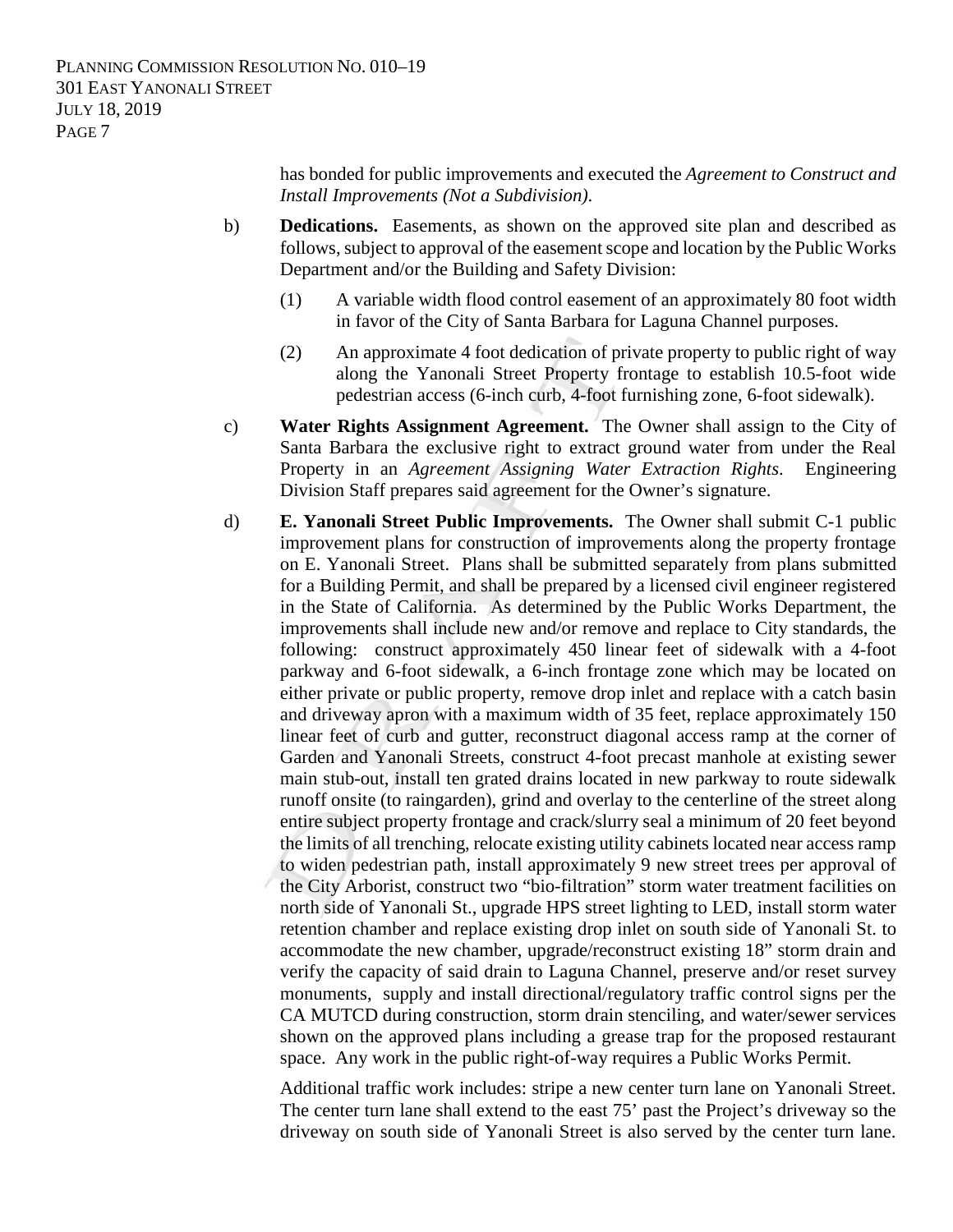has bonded for public improvements and executed the *Agreement to Construct and Install Improvements (Not a Subdivision)*.

- b) **Dedications.** Easements, as shown on the approved site plan and described as follows, subject to approval of the easement scope and location by the Public Works Department and/or the Building and Safety Division:
	- (1) A variable width flood control easement of an approximately 80 foot width in favor of the City of Santa Barbara for Laguna Channel purposes.
	- (2) An approximate 4 foot dedication of private property to public right of way along the Yanonali Street Property frontage to establish 10.5-foot wide pedestrian access (6-inch curb, 4-foot furnishing zone, 6-foot sidewalk).
- c) **Water Rights Assignment Agreement.** The Owner shall assign to the City of Santa Barbara the exclusive right to extract ground water from under the Real Property in an *Agreement Assigning Water Extraction Rights*. Engineering Division Staff prepares said agreement for the Owner's signature.
- d) **E. Yanonali Street Public Improvements.** The Owner shall submit C-1 public improvement plans for construction of improvements along the property frontage on E. Yanonali Street. Plans shall be submitted separately from plans submitted for a Building Permit, and shall be prepared by a licensed civil engineer registered in the State of California. As determined by the Public Works Department, the improvements shall include new and/or remove and replace to City standards, the following: construct approximately 450 linear feet of sidewalk with a 4-foot parkway and 6-foot sidewalk, a 6-inch frontage zone which may be located on either private or public property, remove drop inlet and replace with a catch basin and driveway apron with a maximum width of 35 feet, replace approximately 150 linear feet of curb and gutter, reconstruct diagonal access ramp at the corner of Garden and Yanonali Streets, construct 4-foot precast manhole at existing sewer main stub-out, install ten grated drains located in new parkway to route sidewalk runoff onsite (to raingarden), grind and overlay to the centerline of the street along entire subject property frontage and crack/slurry seal a minimum of 20 feet beyond the limits of all trenching, relocate existing utility cabinets located near access ramp to widen pedestrian path, install approximately 9 new street trees per approval of the City Arborist, construct two "bio-filtration" storm water treatment facilities on north side of Yanonali St., upgrade HPS street lighting to LED, install storm water retention chamber and replace existing drop inlet on south side of Yanonali St. to accommodate the new chamber, upgrade/reconstruct existing 18" storm drain and verify the capacity of said drain to Laguna Channel, preserve and/or reset survey monuments, supply and install directional/regulatory traffic control signs per the CA MUTCD during construction, storm drain stenciling, and water/sewer services shown on the approved plans including a grease trap for the proposed restaurant space. Any work in the public right-of-way requires a Public Works Permit.

Additional traffic work includes: stripe a new center turn lane on Yanonali Street. The center turn lane shall extend to the east 75' past the Project's driveway so the driveway on south side of Yanonali Street is also served by the center turn lane.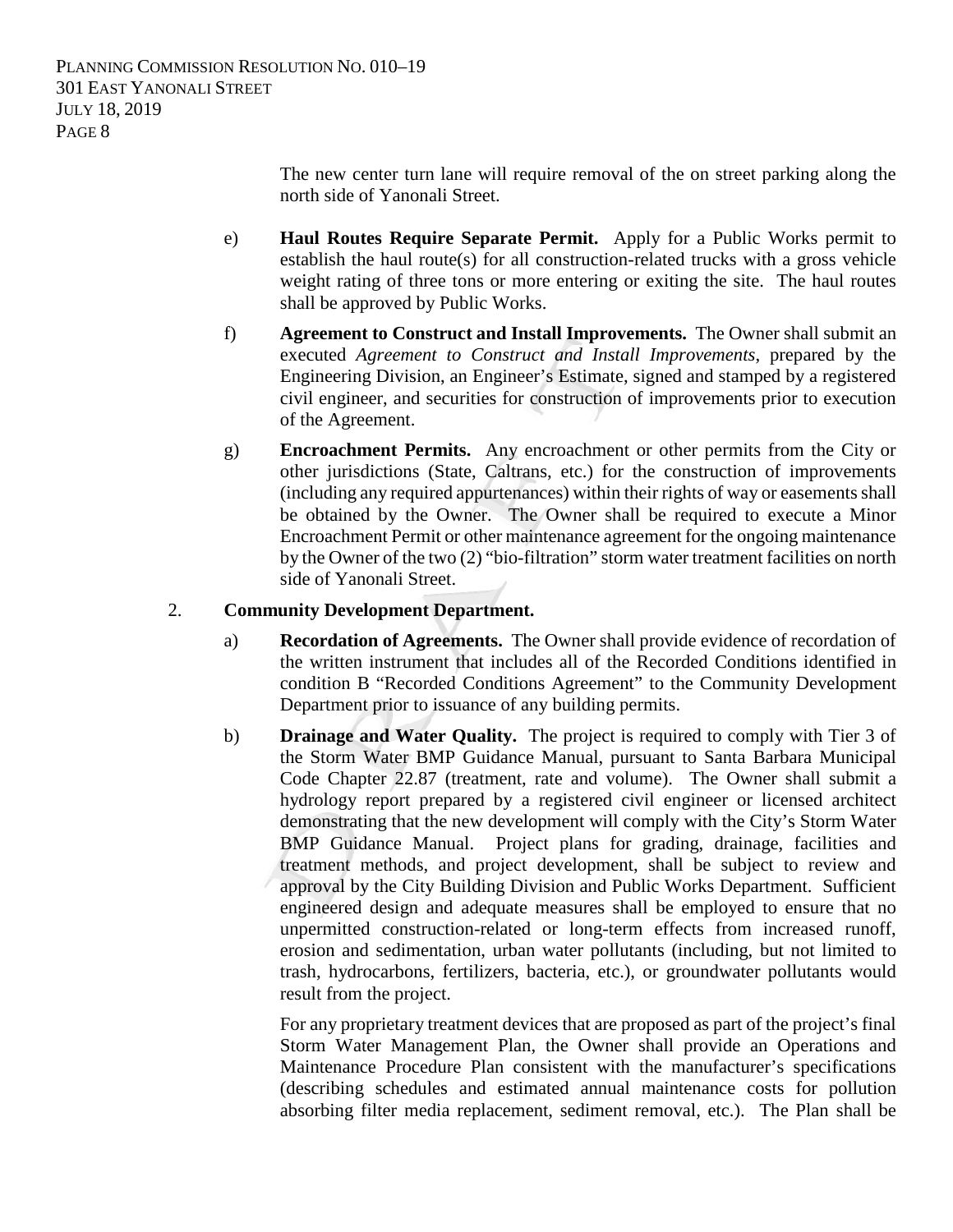The new center turn lane will require removal of the on street parking along the north side of Yanonali Street.

- e) **Haul Routes Require Separate Permit.** Apply for a Public Works permit to establish the haul route(s) for all construction-related trucks with a gross vehicle weight rating of three tons or more entering or exiting the site. The haul routes shall be approved by Public Works.
- f) **Agreement to Construct and Install Improvements.** The Owner shall submit an executed *Agreement to Construct and Install Improvements*, prepared by the Engineering Division, an Engineer's Estimate, signed and stamped by a registered civil engineer, and securities for construction of improvements prior to execution of the Agreement.
- g) **Encroachment Permits.** Any encroachment or other permits from the City or other jurisdictions (State, Caltrans, etc.) for the construction of improvements (including any required appurtenances) within their rights of way or easements shall be obtained by the Owner. The Owner shall be required to execute a Minor Encroachment Permit or other maintenance agreement for the ongoing maintenance by the Owner of the two (2) "bio-filtration" storm water treatment facilities on north side of Yanonali Street.

### 2. **Community Development Department.**

- a) **Recordation of Agreements.** The Owner shall provide evidence of recordation of the written instrument that includes all of the Recorded Conditions identified in condition B "Recorded Conditions Agreement" to the Community Development Department prior to issuance of any building permits.
- b) **Drainage and Water Quality.** The project is required to comply with Tier 3 of the Storm Water BMP Guidance Manual, pursuant to Santa Barbara Municipal Code Chapter 22.87 (treatment, rate and volume). The Owner shall submit a hydrology report prepared by a registered civil engineer or licensed architect demonstrating that the new development will comply with the City's Storm Water BMP Guidance Manual. Project plans for grading, drainage, facilities and treatment methods, and project development, shall be subject to review and approval by the City Building Division and Public Works Department. Sufficient engineered design and adequate measures shall be employed to ensure that no unpermitted construction-related or long-term effects from increased runoff, erosion and sedimentation, urban water pollutants (including, but not limited to trash, hydrocarbons, fertilizers, bacteria, etc.), or groundwater pollutants would result from the project.

For any proprietary treatment devices that are proposed as part of the project's final Storm Water Management Plan, the Owner shall provide an Operations and Maintenance Procedure Plan consistent with the manufacturer's specifications (describing schedules and estimated annual maintenance costs for pollution absorbing filter media replacement, sediment removal, etc.). The Plan shall be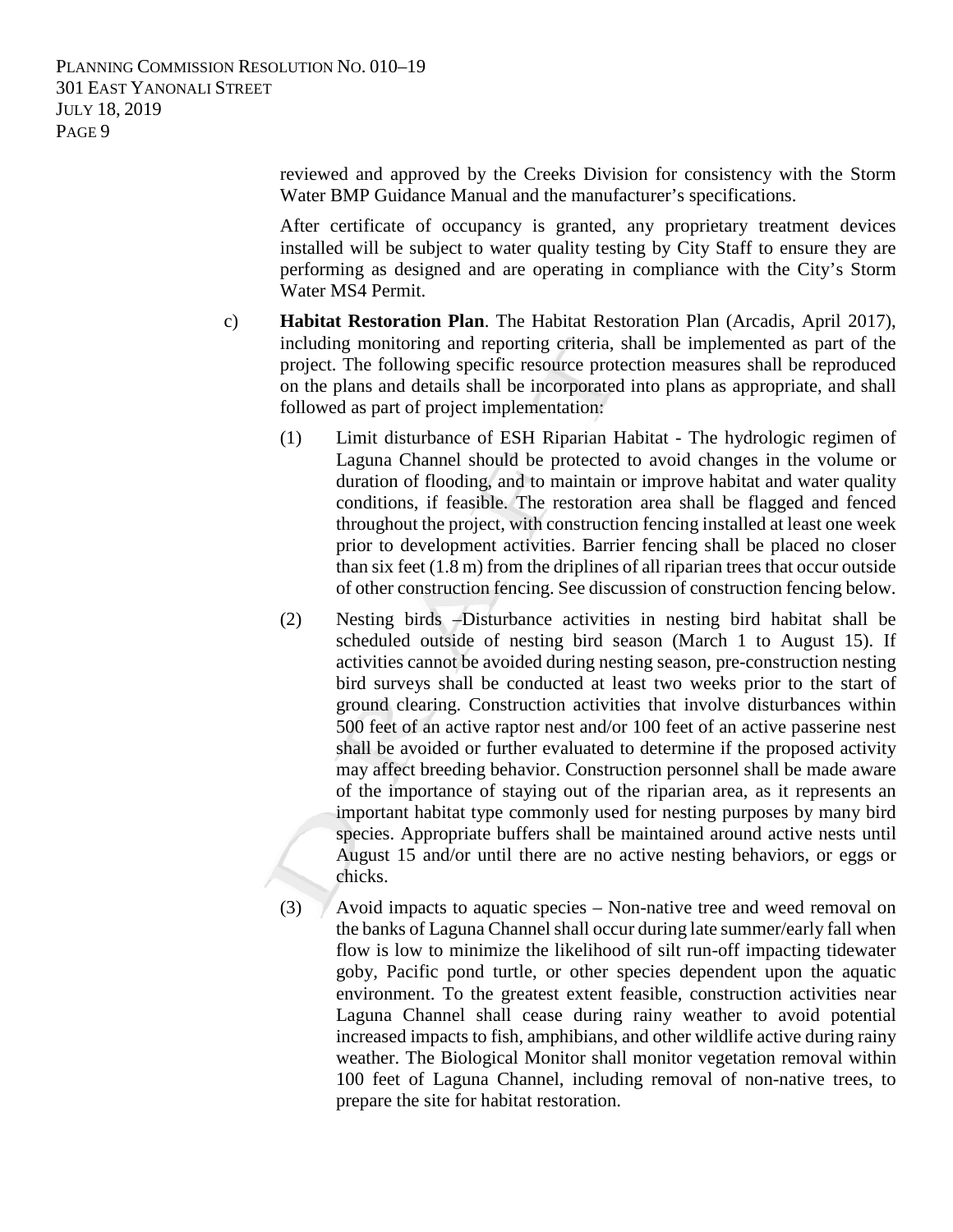> reviewed and approved by the Creeks Division for consistency with the Storm Water BMP Guidance Manual and the manufacturer's specifications.

> After certificate of occupancy is granted, any proprietary treatment devices installed will be subject to water quality testing by City Staff to ensure they are performing as designed and are operating in compliance with the City's Storm Water MS4 Permit.

- c) **Habitat Restoration Plan**. The Habitat Restoration Plan (Arcadis, April 2017), including monitoring and reporting criteria, shall be implemented as part of the project. The following specific resource protection measures shall be reproduced on the plans and details shall be incorporated into plans as appropriate, and shall followed as part of project implementation:
	- (1) Limit disturbance of ESH Riparian Habitat The hydrologic regimen of Laguna Channel should be protected to avoid changes in the volume or duration of flooding, and to maintain or improve habitat and water quality conditions, if feasible. The restoration area shall be flagged and fenced throughout the project, with construction fencing installed at least one week prior to development activities. Barrier fencing shall be placed no closer than six feet (1.8 m) from the driplines of all riparian trees that occur outside of other construction fencing. See discussion of construction fencing below.
	- (2) Nesting birds –Disturbance activities in nesting bird habitat shall be scheduled outside of nesting bird season (March 1 to August 15). If activities cannot be avoided during nesting season, pre-construction nesting bird surveys shall be conducted at least two weeks prior to the start of ground clearing. Construction activities that involve disturbances within 500 feet of an active raptor nest and/or 100 feet of an active passerine nest shall be avoided or further evaluated to determine if the proposed activity may affect breeding behavior. Construction personnel shall be made aware of the importance of staying out of the riparian area, as it represents an important habitat type commonly used for nesting purposes by many bird species. Appropriate buffers shall be maintained around active nests until August 15 and/or until there are no active nesting behaviors, or eggs or chicks.
	- (3) Avoid impacts to aquatic species Non-native tree and weed removal on the banks of Laguna Channel shall occur during late summer/early fall when flow is low to minimize the likelihood of silt run-off impacting tidewater goby, Pacific pond turtle, or other species dependent upon the aquatic environment. To the greatest extent feasible, construction activities near Laguna Channel shall cease during rainy weather to avoid potential increased impacts to fish, amphibians, and other wildlife active during rainy weather. The Biological Monitor shall monitor vegetation removal within 100 feet of Laguna Channel, including removal of non-native trees, to prepare the site for habitat restoration.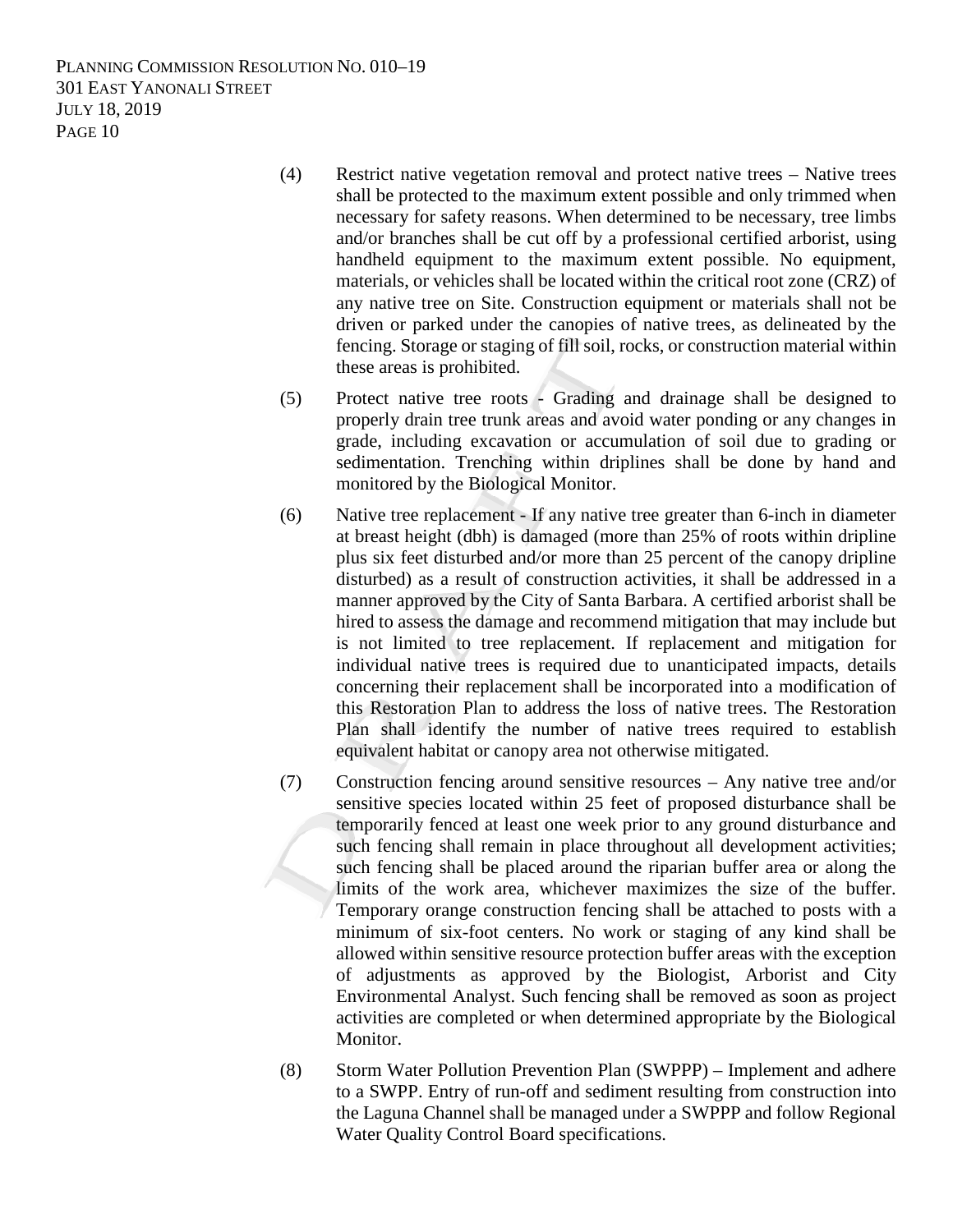- (4) Restrict native vegetation removal and protect native trees Native trees shall be protected to the maximum extent possible and only trimmed when necessary for safety reasons. When determined to be necessary, tree limbs and/or branches shall be cut off by a professional certified arborist, using handheld equipment to the maximum extent possible. No equipment, materials, or vehicles shall be located within the critical root zone (CRZ) of any native tree on Site. Construction equipment or materials shall not be driven or parked under the canopies of native trees, as delineated by the fencing. Storage or staging of fill soil, rocks, or construction material within these areas is prohibited.
- (5) Protect native tree roots Grading and drainage shall be designed to properly drain tree trunk areas and avoid water ponding or any changes in grade, including excavation or accumulation of soil due to grading or sedimentation. Trenching within driplines shall be done by hand and monitored by the Biological Monitor.
- (6) Native tree replacement If any native tree greater than 6-inch in diameter at breast height (dbh) is damaged (more than 25% of roots within dripline plus six feet disturbed and/or more than 25 percent of the canopy dripline disturbed) as a result of construction activities, it shall be addressed in a manner approved by the City of Santa Barbara. A certified arborist shall be hired to assess the damage and recommend mitigation that may include but is not limited to tree replacement. If replacement and mitigation for individual native trees is required due to unanticipated impacts, details concerning their replacement shall be incorporated into a modification of this Restoration Plan to address the loss of native trees. The Restoration Plan shall identify the number of native trees required to establish equivalent habitat or canopy area not otherwise mitigated.
- (7) Construction fencing around sensitive resources Any native tree and/or sensitive species located within 25 feet of proposed disturbance shall be temporarily fenced at least one week prior to any ground disturbance and such fencing shall remain in place throughout all development activities; such fencing shall be placed around the riparian buffer area or along the limits of the work area, whichever maximizes the size of the buffer. Temporary orange construction fencing shall be attached to posts with a minimum of six-foot centers. No work or staging of any kind shall be allowed within sensitive resource protection buffer areas with the exception of adjustments as approved by the Biologist, Arborist and City Environmental Analyst. Such fencing shall be removed as soon as project activities are completed or when determined appropriate by the Biological Monitor.
- (8) Storm Water Pollution Prevention Plan (SWPPP) Implement and adhere to a SWPP. Entry of run-off and sediment resulting from construction into the Laguna Channel shall be managed under a SWPPP and follow Regional Water Quality Control Board specifications.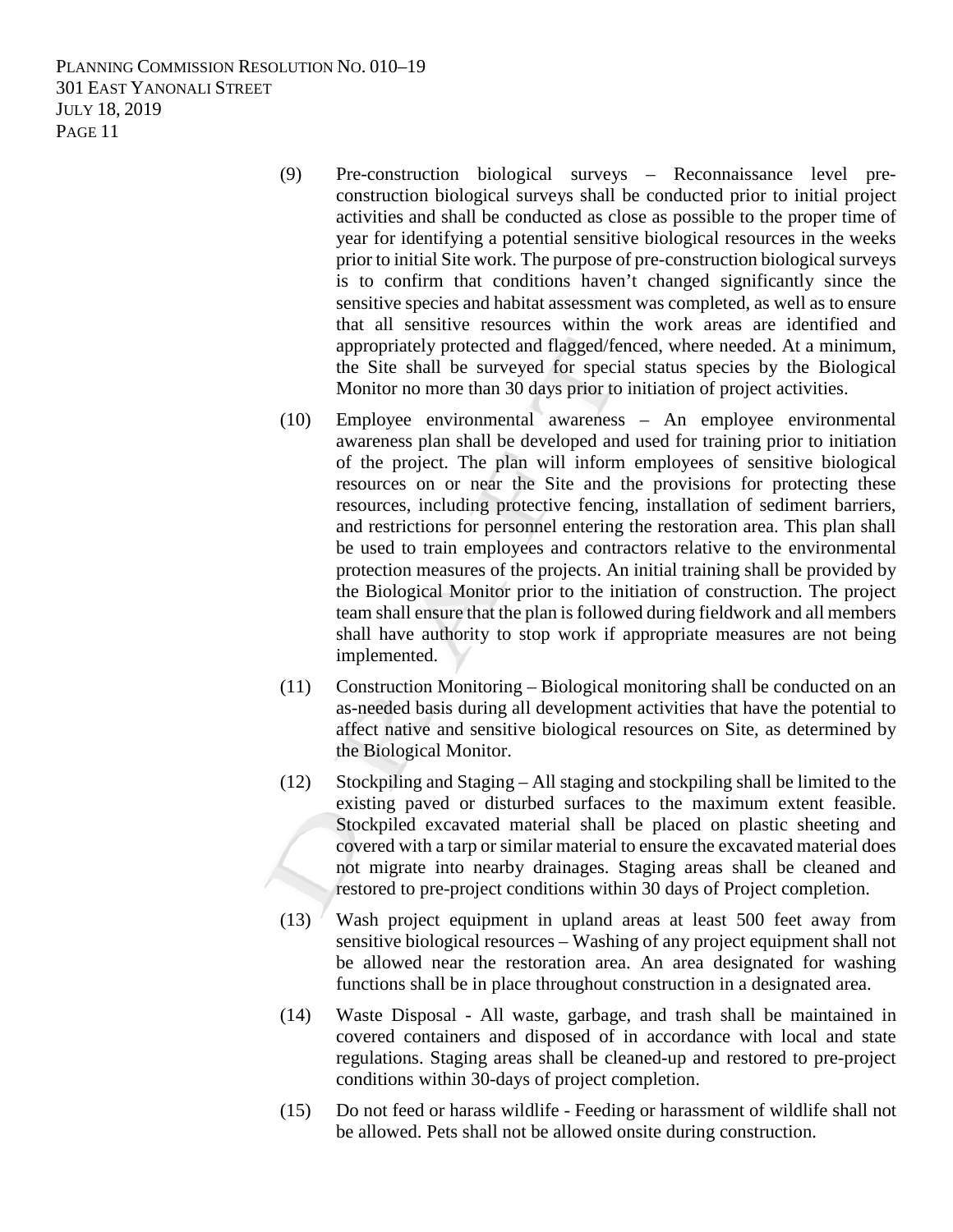- (9) Pre-construction biological surveys Reconnaissance level preconstruction biological surveys shall be conducted prior to initial project activities and shall be conducted as close as possible to the proper time of year for identifying a potential sensitive biological resources in the weeks prior to initial Site work. The purpose of pre-construction biological surveys is to confirm that conditions haven't changed significantly since the sensitive species and habitat assessment was completed, as well as to ensure that all sensitive resources within the work areas are identified and appropriately protected and flagged/fenced, where needed. At a minimum, the Site shall be surveyed for special status species by the Biological Monitor no more than 30 days prior to initiation of project activities.
- (10) Employee environmental awareness An employee environmental awareness plan shall be developed and used for training prior to initiation of the project. The plan will inform employees of sensitive biological resources on or near the Site and the provisions for protecting these resources, including protective fencing, installation of sediment barriers, and restrictions for personnel entering the restoration area. This plan shall be used to train employees and contractors relative to the environmental protection measures of the projects. An initial training shall be provided by the Biological Monitor prior to the initiation of construction. The project team shall ensure that the plan is followed during fieldwork and all members shall have authority to stop work if appropriate measures are not being implemented.
- (11) Construction Monitoring Biological monitoring shall be conducted on an as-needed basis during all development activities that have the potential to affect native and sensitive biological resources on Site, as determined by the Biological Monitor.
- (12) Stockpiling and Staging All staging and stockpiling shall be limited to the existing paved or disturbed surfaces to the maximum extent feasible. Stockpiled excavated material shall be placed on plastic sheeting and covered with a tarp or similar material to ensure the excavated material does not migrate into nearby drainages. Staging areas shall be cleaned and restored to pre-project conditions within 30 days of Project completion.
- $(13)$  Wash project equipment in upland areas at least 500 feet away from sensitive biological resources – Washing of any project equipment shall not be allowed near the restoration area. An area designated for washing functions shall be in place throughout construction in a designated area.
- (14) Waste Disposal All waste, garbage, and trash shall be maintained in covered containers and disposed of in accordance with local and state regulations. Staging areas shall be cleaned-up and restored to pre-project conditions within 30-days of project completion.
- (15) Do not feed or harass wildlife Feeding or harassment of wildlife shall not be allowed. Pets shall not be allowed onsite during construction.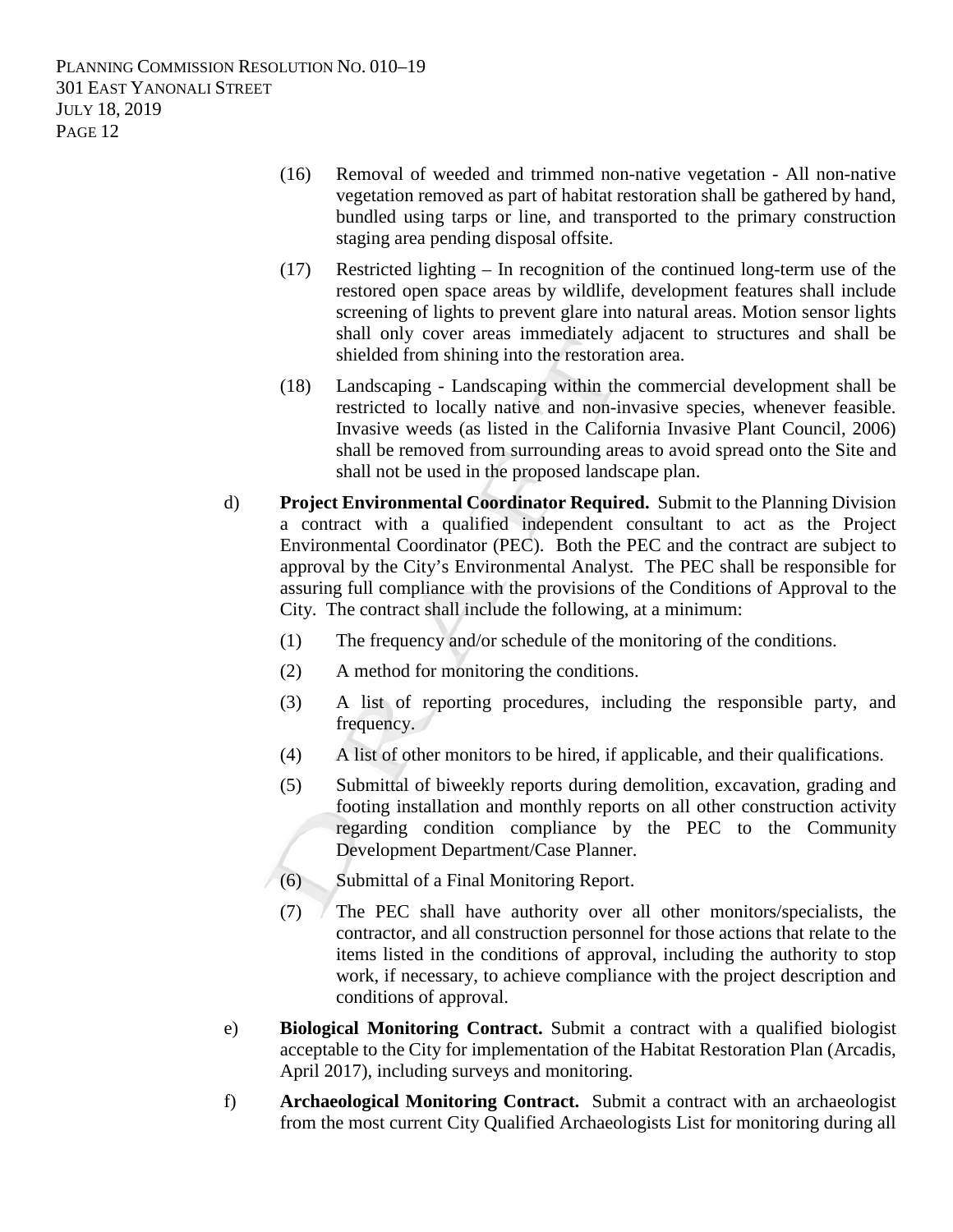- (16) Removal of weeded and trimmed non-native vegetation All non-native vegetation removed as part of habitat restoration shall be gathered by hand, bundled using tarps or line, and transported to the primary construction staging area pending disposal offsite.
- (17) Restricted lighting In recognition of the continued long-term use of the restored open space areas by wildlife, development features shall include screening of lights to prevent glare into natural areas. Motion sensor lights shall only cover areas immediately adjacent to structures and shall be shielded from shining into the restoration area.
- (18) Landscaping Landscaping within the commercial development shall be restricted to locally native and non-invasive species, whenever feasible. Invasive weeds (as listed in the California Invasive Plant Council, 2006) shall be removed from surrounding areas to avoid spread onto the Site and shall not be used in the proposed landscape plan.
- d) **Project Environmental Coordinator Required.** Submit to the Planning Division a contract with a qualified independent consultant to act as the Project Environmental Coordinator (PEC). Both the PEC and the contract are subject to approval by the City's Environmental Analyst. The PEC shall be responsible for assuring full compliance with the provisions of the Conditions of Approval to the City. The contract shall include the following, at a minimum:
	- (1) The frequency and/or schedule of the monitoring of the conditions.
	- (2) A method for monitoring the conditions.
	- (3) A list of reporting procedures, including the responsible party, and frequency.
	- (4) A list of other monitors to be hired, if applicable, and their qualifications.
	- (5) Submittal of biweekly reports during demolition, excavation, grading and footing installation and monthly reports on all other construction activity regarding condition compliance by the PEC to the Community Development Department/Case Planner.
	- (6) Submittal of a Final Monitoring Report.
	- (7) The PEC shall have authority over all other monitors/specialists, the contractor, and all construction personnel for those actions that relate to the items listed in the conditions of approval, including the authority to stop work, if necessary, to achieve compliance with the project description and conditions of approval.
- e) **Biological Monitoring Contract.** Submit a contract with a qualified biologist acceptable to the City for implementation of the Habitat Restoration Plan (Arcadis, April 2017), including surveys and monitoring.
- f) **Archaeological Monitoring Contract.** Submit a contract with an archaeologist from the most current City Qualified Archaeologists List for monitoring during all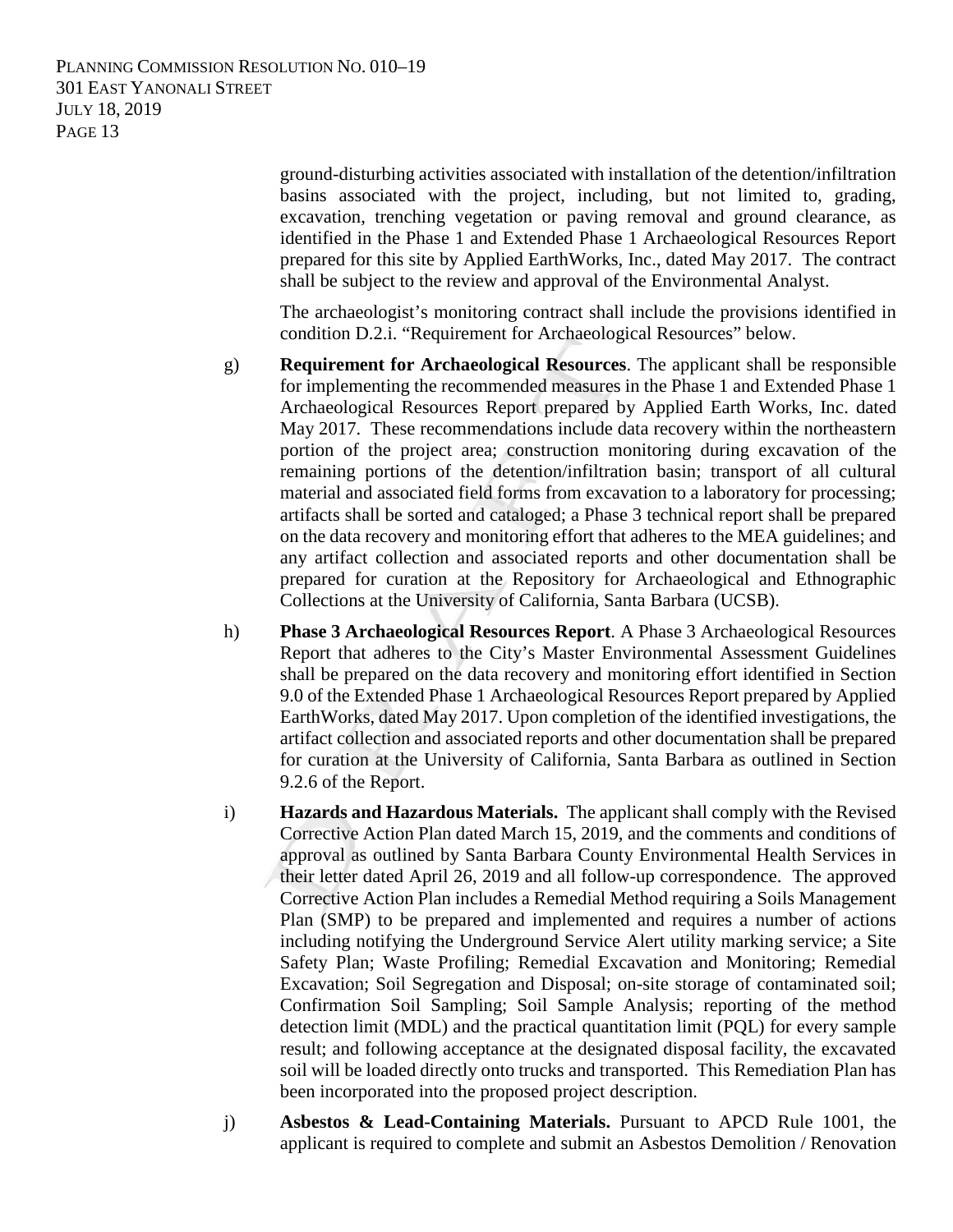> ground-disturbing activities associated with installation of the detention/infiltration basins associated with the project, including, but not limited to, grading, excavation, trenching vegetation or paving removal and ground clearance, as identified in the Phase 1 and Extended Phase 1 Archaeological Resources Report prepared for this site by Applied EarthWorks, Inc., dated May 2017. The contract shall be subject to the review and approval of the Environmental Analyst.

> The archaeologist's monitoring contract shall include the provisions identified in condition D.2.i. "Requirement for Archaeological Resources" below.

- g) **Requirement for Archaeological Resources**. The applicant shall be responsible for implementing the recommended measures in the Phase 1 and Extended Phase 1 Archaeological Resources Report prepared by Applied Earth Works, Inc. dated May 2017. These recommendations include data recovery within the northeastern portion of the project area; construction monitoring during excavation of the remaining portions of the detention/infiltration basin; transport of all cultural material and associated field forms from excavation to a laboratory for processing; artifacts shall be sorted and cataloged; a Phase 3 technical report shall be prepared on the data recovery and monitoring effort that adheres to the MEA guidelines; and any artifact collection and associated reports and other documentation shall be prepared for curation at the Repository for Archaeological and Ethnographic Collections at the University of California, Santa Barbara (UCSB).
- h) **Phase 3 Archaeological Resources Report**. A Phase 3 Archaeological Resources Report that adheres to the City's Master Environmental Assessment Guidelines shall be prepared on the data recovery and monitoring effort identified in Section 9.0 of the Extended Phase 1 Archaeological Resources Report prepared by Applied EarthWorks, dated May 2017. Upon completion of the identified investigations, the artifact collection and associated reports and other documentation shall be prepared for curation at the University of California, Santa Barbara as outlined in Section 9.2.6 of the Report.
- i) **Hazards and Hazardous Materials.** The applicant shall comply with the Revised Corrective Action Plan dated March 15, 2019, and the comments and conditions of approval as outlined by Santa Barbara County Environmental Health Services in their letter dated April 26, 2019 and all follow-up correspondence. The approved Corrective Action Plan includes a Remedial Method requiring a Soils Management Plan (SMP) to be prepared and implemented and requires a number of actions including notifying the Underground Service Alert utility marking service; a Site Safety Plan; Waste Profiling; Remedial Excavation and Monitoring; Remedial Excavation; Soil Segregation and Disposal; on-site storage of contaminated soil; Confirmation Soil Sampling; Soil Sample Analysis; reporting of the method detection limit (MDL) and the practical quantitation limit (PQL) for every sample result; and following acceptance at the designated disposal facility, the excavated soil will be loaded directly onto trucks and transported. This Remediation Plan has been incorporated into the proposed project description.
- j) **Asbestos & Lead-Containing Materials.** Pursuant to APCD Rule 1001, the applicant is required to complete and submit an Asbestos Demolition / Renovation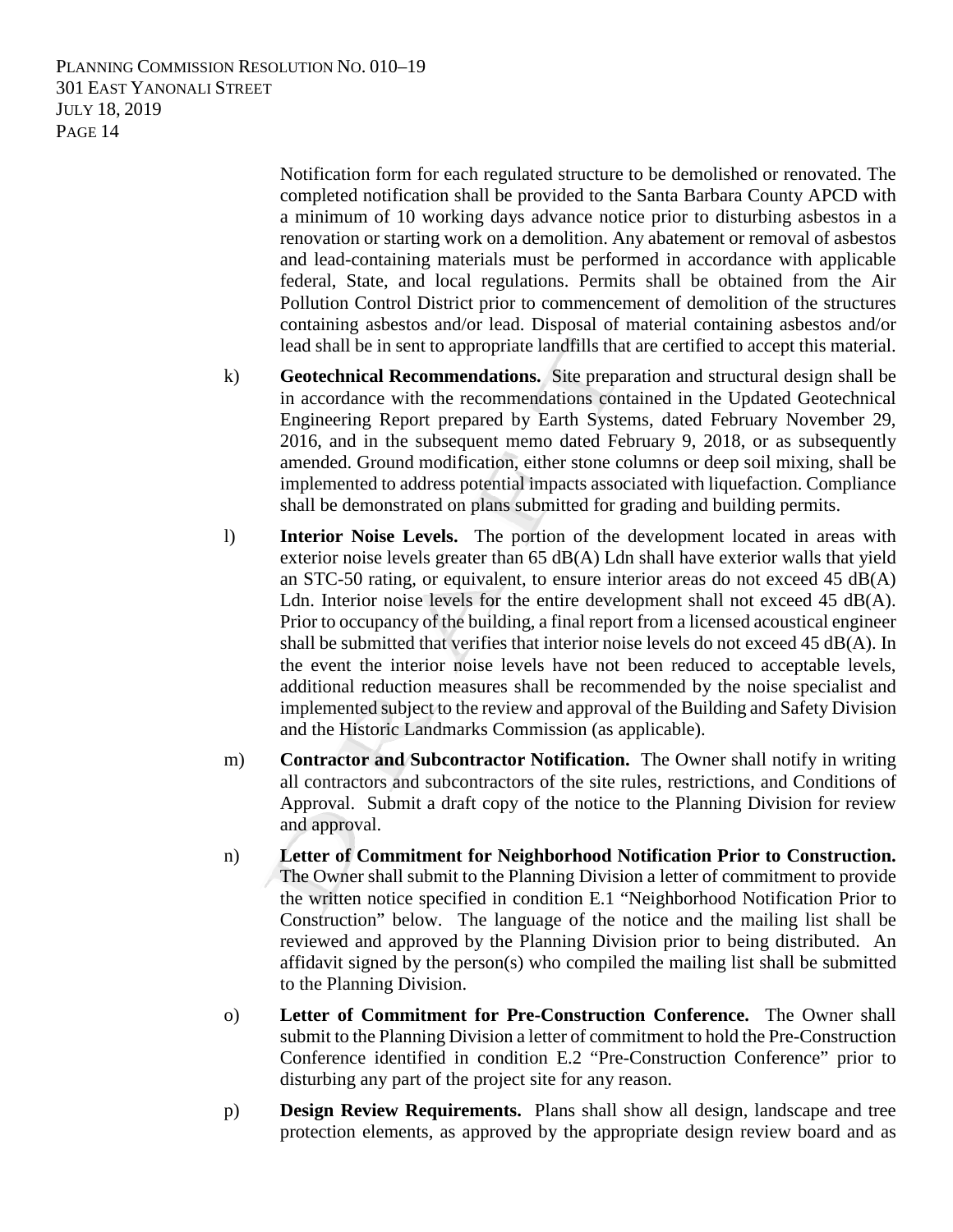> Notification form for each regulated structure to be demolished or renovated. The completed notification shall be provided to the Santa Barbara County APCD with a minimum of 10 working days advance notice prior to disturbing asbestos in a renovation or starting work on a demolition. Any abatement or removal of asbestos and lead-containing materials must be performed in accordance with applicable federal, State, and local regulations. Permits shall be obtained from the Air Pollution Control District prior to commencement of demolition of the structures containing asbestos and/or lead. Disposal of material containing asbestos and/or lead shall be in sent to appropriate landfills that are certified to accept this material.

- k) **Geotechnical Recommendations.** Site preparation and structural design shall be in accordance with the recommendations contained in the Updated Geotechnical Engineering Report prepared by Earth Systems, dated February November 29, 2016, and in the subsequent memo dated February 9, 2018, or as subsequently amended. Ground modification, either stone columns or deep soil mixing, shall be implemented to address potential impacts associated with liquefaction. Compliance shall be demonstrated on plans submitted for grading and building permits.
- l) **Interior Noise Levels.** The portion of the development located in areas with exterior noise levels greater than  $65$  dB(A) Ldn shall have exterior walls that yield an STC-50 rating, or equivalent, to ensure interior areas do not exceed  $45 \text{ dB}(A)$ Ldn. Interior noise levels for the entire development shall not exceed 45  $dB(A)$ . Prior to occupancy of the building, a final report from a licensed acoustical engineer shall be submitted that verifies that interior noise levels do not exceed 45 dB(A). In the event the interior noise levels have not been reduced to acceptable levels, additional reduction measures shall be recommended by the noise specialist and implemented subject to the review and approval of the Building and Safety Division and the Historic Landmarks Commission (as applicable).
- m) **Contractor and Subcontractor Notification.** The Owner shall notify in writing all contractors and subcontractors of the site rules, restrictions, and Conditions of Approval. Submit a draft copy of the notice to the Planning Division for review and approval.
- n) **Letter of Commitment for Neighborhood Notification Prior to Construction.** The Owner shall submit to the Planning Division a letter of commitment to provide the written notice specified in condition E.1 "Neighborhood Notification Prior to Construction" below. The language of the notice and the mailing list shall be reviewed and approved by the Planning Division prior to being distributed. An affidavit signed by the person(s) who compiled the mailing list shall be submitted to the Planning Division.
- o) **Letter of Commitment for Pre-Construction Conference.** The Owner shall submit to the Planning Division a letter of commitment to hold the Pre-Construction Conference identified in condition E.2 "Pre-Construction Conference" prior to disturbing any part of the project site for any reason.
- p) **Design Review Requirements.** Plans shall show all design, landscape and tree protection elements, as approved by the appropriate design review board and as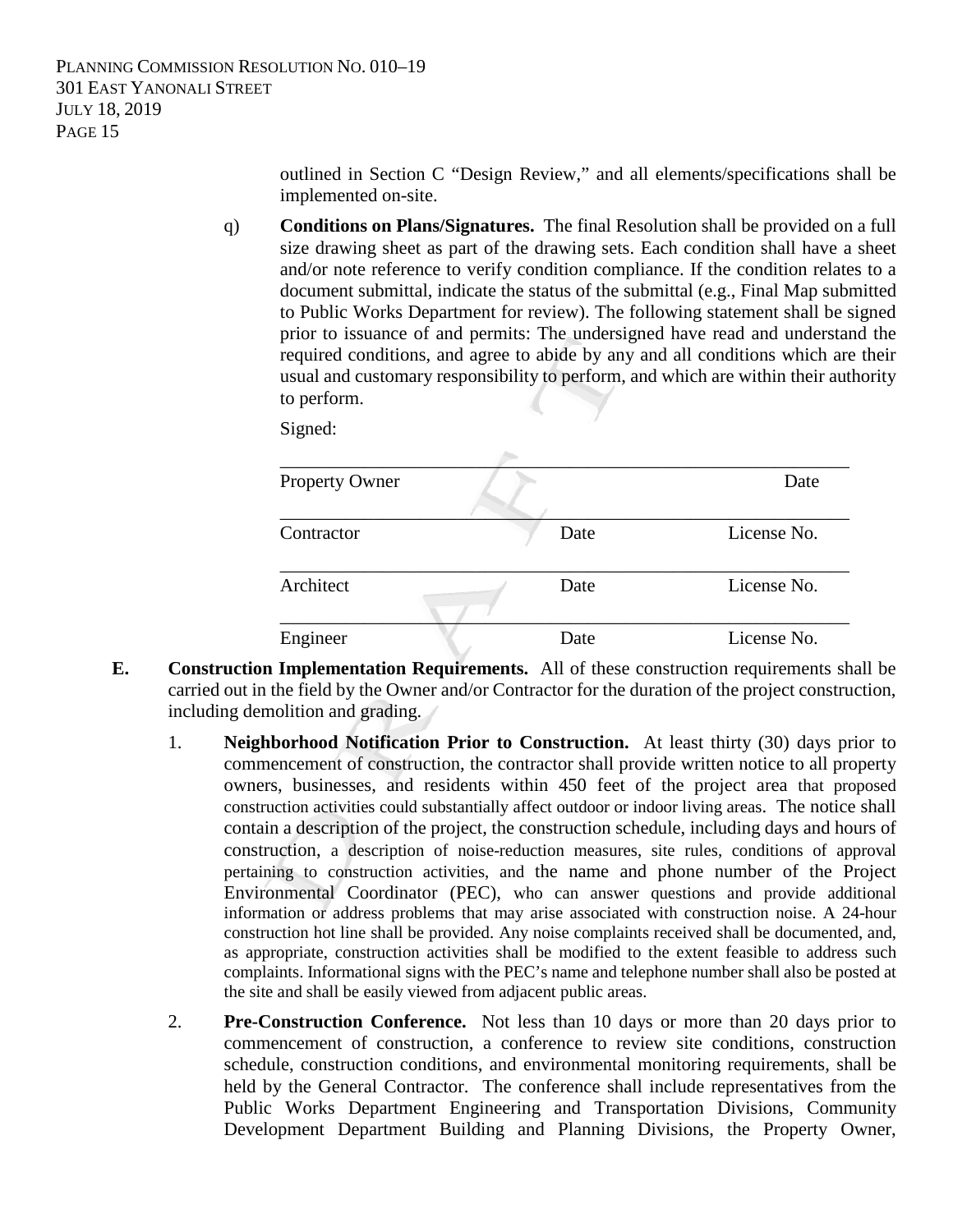outlined in Section C "Design Review," and all elements/specifications shall be implemented on-site.

q) **Conditions on Plans/Signatures.** The final Resolution shall be provided on a full size drawing sheet as part of the drawing sets. Each condition shall have a sheet and/or note reference to verify condition compliance. If the condition relates to a document submittal, indicate the status of the submittal (e.g., Final Map submitted to Public Works Department for review). The following statement shall be signed prior to issuance of and permits: The undersigned have read and understand the required conditions, and agree to abide by any and all conditions which are their usual and customary responsibility to perform, and which are within their authority to perform.

Signed:

| Property Owner |      | Date        |
|----------------|------|-------------|
| Contractor     | Date | License No. |
| Architect      | Date | License No. |
| Engineer       | Date | License No. |

- **E. Construction Implementation Requirements.** All of these construction requirements shall be carried out in the field by the Owner and/or Contractor for the duration of the project construction, including demolition and grading.
	- 1. **Neighborhood Notification Prior to Construction.** At least thirty (30) days prior to commencement of construction, the contractor shall provide written notice to all property owners, businesses, and residents within 450 feet of the project area that proposed construction activities could substantially affect outdoor or indoor living areas. The notice shall contain a description of the project, the construction schedule, including days and hours of construction, a description of noise-reduction measures, site rules, conditions of approval pertaining to construction activities, and the name and phone number of the Project Environmental Coordinator (PEC), who can answer questions and provide additional information or address problems that may arise associated with construction noise. A 24-hour construction hot line shall be provided. Any noise complaints received shall be documented, and, as appropriate, construction activities shall be modified to the extent feasible to address such complaints. Informational signs with the PEC's name and telephone number shall also be posted at the site and shall be easily viewed from adjacent public areas.
	- 2. **Pre-Construction Conference.** Not less than 10 days or more than 20 days prior to commencement of construction, a conference to review site conditions, construction schedule, construction conditions, and environmental monitoring requirements, shall be held by the General Contractor. The conference shall include representatives from the Public Works Department Engineering and Transportation Divisions, Community Development Department Building and Planning Divisions, the Property Owner,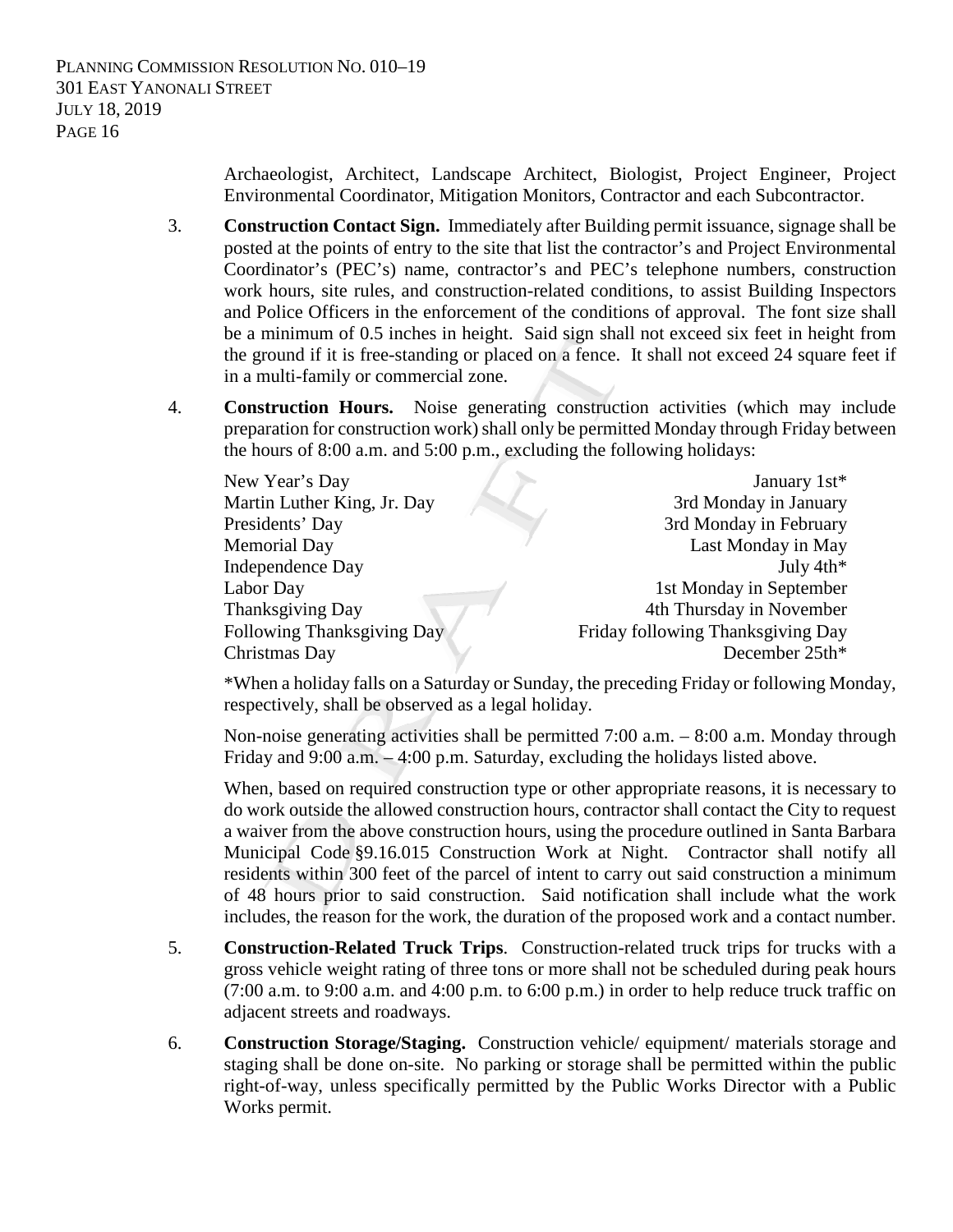Archaeologist, Architect, Landscape Architect, Biologist, Project Engineer, Project Environmental Coordinator, Mitigation Monitors, Contractor and each Subcontractor.

- 3. **Construction Contact Sign.** Immediately after Building permit issuance, signage shall be posted at the points of entry to the site that list the contractor's and Project Environmental Coordinator's (PEC's) name, contractor's and PEC's telephone numbers, construction work hours, site rules, and construction-related conditions, to assist Building Inspectors and Police Officers in the enforcement of the conditions of approval. The font size shall be a minimum of 0.5 inches in height. Said sign shall not exceed six feet in height from the ground if it is free-standing or placed on a fence. It shall not exceed 24 square feet if in a multi-family or commercial zone.
- 4. **Construction Hours.** Noise generating construction activities (which may include preparation for construction work) shall only be permitted Monday through Friday between the hours of 8:00 a.m. and 5:00 p.m., excluding the following holidays:

| New Year's Day              | January 1st*                      |
|-----------------------------|-----------------------------------|
| Martin Luther King, Jr. Day | 3rd Monday in January             |
| Presidents' Day             | 3rd Monday in February            |
| <b>Memorial Day</b>         | Last Monday in May                |
| Independence Day            | July $4th*$                       |
| Labor Day                   | 1st Monday in September           |
| Thanksgiving Day            | 4th Thursday in November          |
| Following Thanksgiving Day  | Friday following Thanksgiving Day |
| Christmas Day               | December 25th*                    |

\*When a holiday falls on a Saturday or Sunday, the preceding Friday or following Monday, respectively, shall be observed as a legal holiday.

Non-noise generating activities shall be permitted 7:00 a.m. – 8:00 a.m. Monday through Friday and 9:00 a.m. – 4:00 p.m. Saturday, excluding the holidays listed above.

When, based on required construction type or other appropriate reasons, it is necessary to do work outside the allowed construction hours, contractor shall contact the City to request a waiver from the above construction hours, using the procedure outlined in Santa Barbara Municipal Code §9.16.015 Construction Work at Night. Contractor shall notify all residents within 300 feet of the parcel of intent to carry out said construction a minimum of 48 hours prior to said construction. Said notification shall include what the work includes, the reason for the work, the duration of the proposed work and a contact number.

- 5. **Construction-Related Truck Trips**. Construction-related truck trips for trucks with a gross vehicle weight rating of three tons or more shall not be scheduled during peak hours (7:00 a.m. to 9:00 a.m. and 4:00 p.m. to 6:00 p.m.) in order to help reduce truck traffic on adjacent streets and roadways.
- 6. **Construction Storage/Staging.** Construction vehicle/ equipment/ materials storage and staging shall be done on-site. No parking or storage shall be permitted within the public right-of-way, unless specifically permitted by the Public Works Director with a Public Works permit.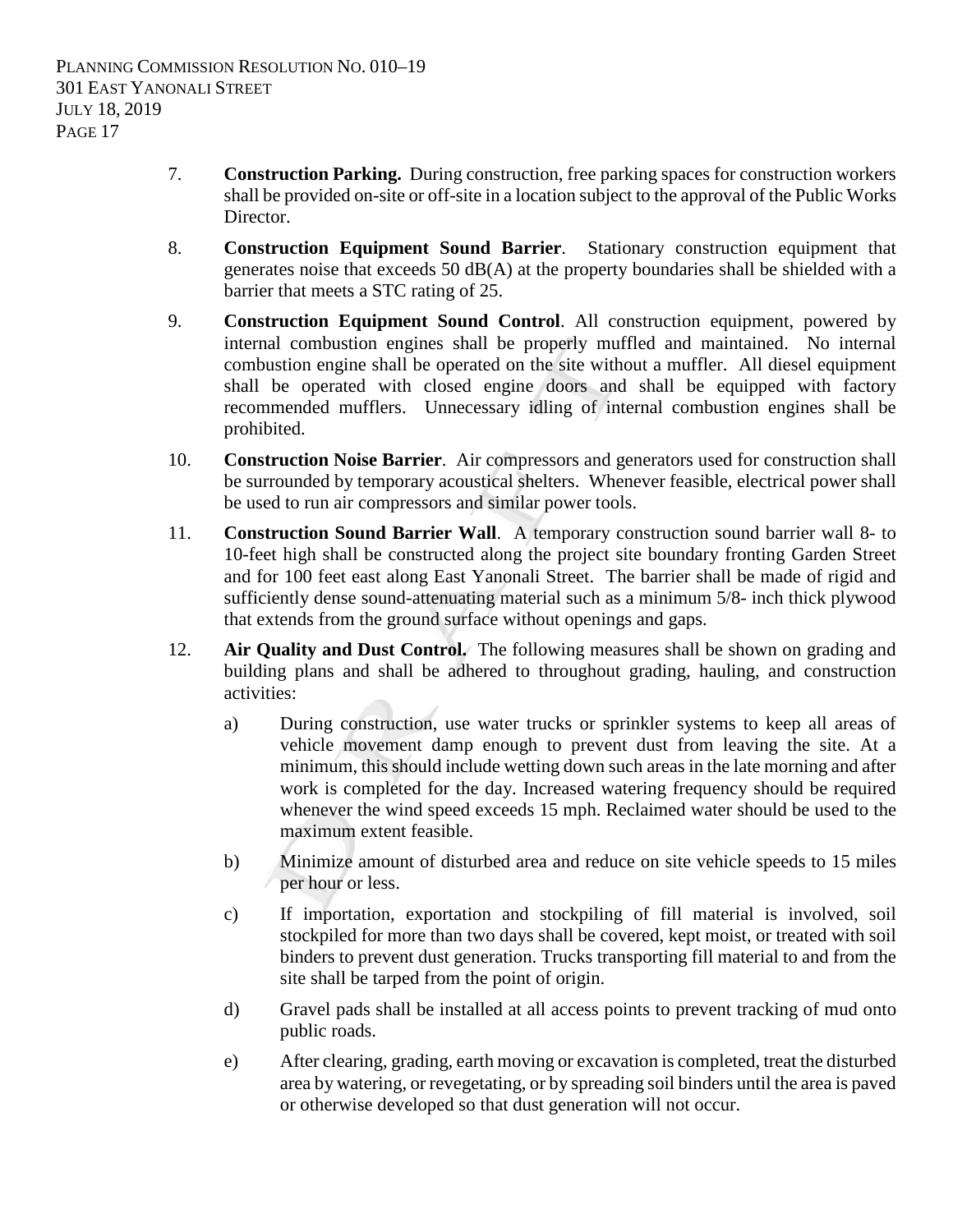- 7. **Construction Parking.** During construction, free parking spaces for construction workers shall be provided on-site or off-site in a location subject to the approval of the Public Works Director.
- 8. **Construction Equipment Sound Barrier**. Stationary construction equipment that generates noise that exceeds 50 dB(A) at the property boundaries shall be shielded with a barrier that meets a STC rating of 25.
- 9. **Construction Equipment Sound Control**. All construction equipment, powered by internal combustion engines shall be properly muffled and maintained. No internal combustion engine shall be operated on the site without a muffler. All diesel equipment shall be operated with closed engine doors and shall be equipped with factory recommended mufflers. Unnecessary idling of internal combustion engines shall be prohibited.
- 10. **Construction Noise Barrier**. Air compressors and generators used for construction shall be surrounded by temporary acoustical shelters. Whenever feasible, electrical power shall be used to run air compressors and similar power tools.
- 11. **Construction Sound Barrier Wall**. A temporary construction sound barrier wall 8- to 10-feet high shall be constructed along the project site boundary fronting Garden Street and for 100 feet east along East Yanonali Street. The barrier shall be made of rigid and sufficiently dense sound-attenuating material such as a minimum 5/8- inch thick plywood that extends from the ground surface without openings and gaps.
- 12. **Air Quality and Dust Control.** The following measures shall be shown on grading and building plans and shall be adhered to throughout grading, hauling, and construction activities:
	- a) During construction, use water trucks or sprinkler systems to keep all areas of vehicle movement damp enough to prevent dust from leaving the site. At a minimum, this should include wetting down such areas in the late morning and after work is completed for the day. Increased watering frequency should be required whenever the wind speed exceeds 15 mph. Reclaimed water should be used to the maximum extent feasible.
	- b) Minimize amount of disturbed area and reduce on site vehicle speeds to 15 miles per hour or less.
	- c) If importation, exportation and stockpiling of fill material is involved, soil stockpiled for more than two days shall be covered, kept moist, or treated with soil binders to prevent dust generation. Trucks transporting fill material to and from the site shall be tarped from the point of origin.
	- d) Gravel pads shall be installed at all access points to prevent tracking of mud onto public roads.
	- e) After clearing, grading, earth moving or excavation is completed, treat the disturbed area by watering, or revegetating, or by spreading soil binders until the area is paved or otherwise developed so that dust generation will not occur.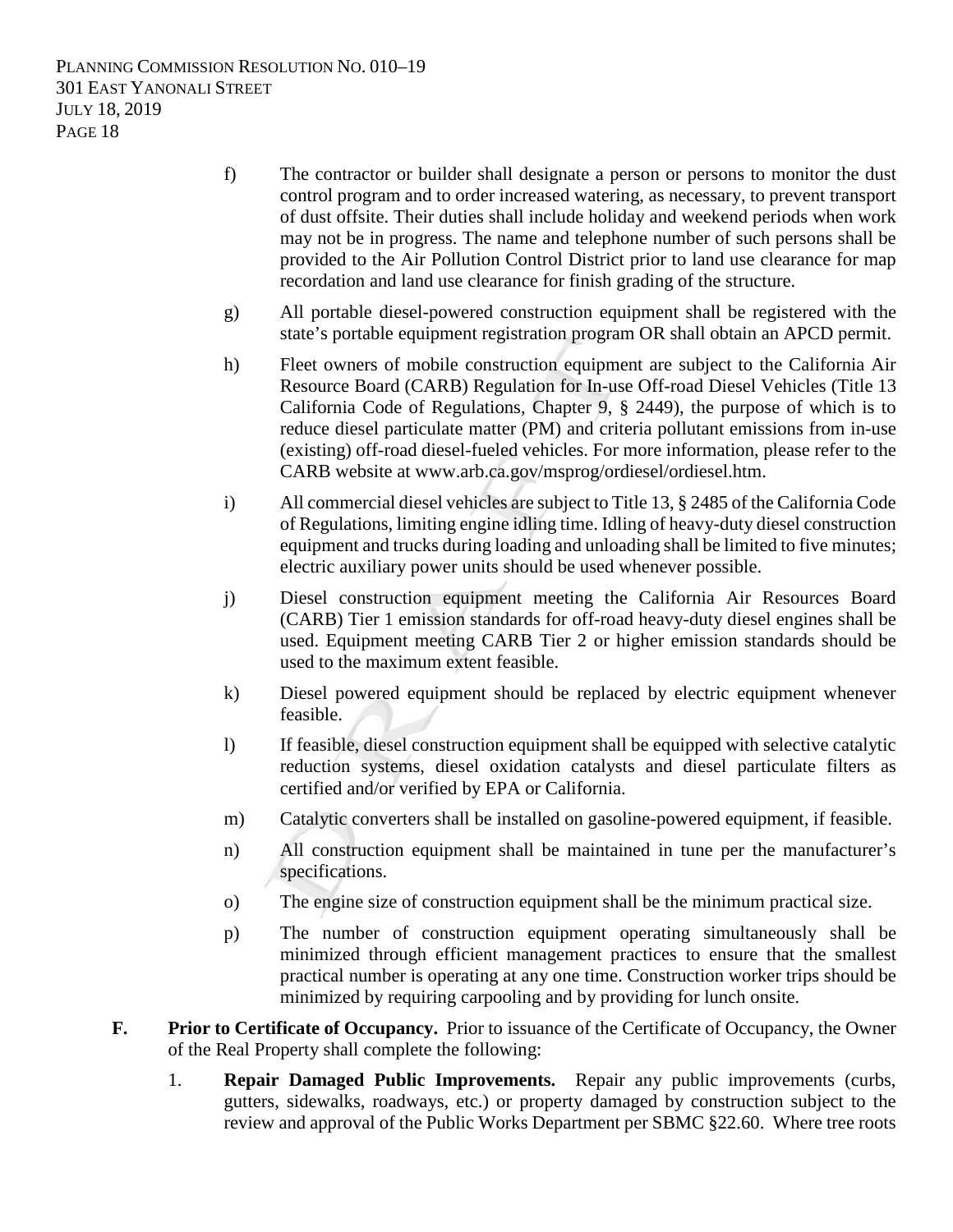- f) The contractor or builder shall designate a person or persons to monitor the dust control program and to order increased watering, as necessary, to prevent transport of dust offsite. Their duties shall include holiday and weekend periods when work may not be in progress. The name and telephone number of such persons shall be provided to the Air Pollution Control District prior to land use clearance for map recordation and land use clearance for finish grading of the structure.
- g) All portable diesel-powered construction equipment shall be registered with the state's portable equipment registration program OR shall obtain an APCD permit.
- h) Fleet owners of mobile construction equipment are subject to the California Air Resource Board (CARB) Regulation for In-use Off-road Diesel Vehicles (Title 13 California Code of Regulations, Chapter 9, § 2449), the purpose of which is to reduce diesel particulate matter (PM) and criteria pollutant emissions from in-use (existing) off-road diesel-fueled vehicles. For more information, please refer to the CARB website at www.arb.ca.gov/msprog/ordiesel/ordiesel.htm.
- i) All commercial diesel vehicles are subject to Title 13, § 2485 of the California Code of Regulations, limiting engine idling time. Idling of heavy-duty diesel construction equipment and trucks during loading and unloading shall be limited to five minutes; electric auxiliary power units should be used whenever possible.
- j) Diesel construction equipment meeting the California Air Resources Board (CARB) Tier 1 emission standards for off-road heavy-duty diesel engines shall be used. Equipment meeting CARB Tier 2 or higher emission standards should be used to the maximum extent feasible.
- k) Diesel powered equipment should be replaced by electric equipment whenever feasible.
- l) If feasible, diesel construction equipment shall be equipped with selective catalytic reduction systems, diesel oxidation catalysts and diesel particulate filters as certified and/or verified by EPA or California.
- m) Catalytic converters shall be installed on gasoline-powered equipment, if feasible.
- n) All construction equipment shall be maintained in tune per the manufacturer's specifications.
- o) The engine size of construction equipment shall be the minimum practical size.
- p) The number of construction equipment operating simultaneously shall be minimized through efficient management practices to ensure that the smallest practical number is operating at any one time. Construction worker trips should be minimized by requiring carpooling and by providing for lunch onsite.
- **F. Prior to Certificate of Occupancy.** Prior to issuance of the Certificate of Occupancy, the Owner of the Real Property shall complete the following:
	- 1. **Repair Damaged Public Improvements.** Repair any public improvements (curbs, gutters, sidewalks, roadways, etc.) or property damaged by construction subject to the review and approval of the Public Works Department per SBMC §22.60. Where tree roots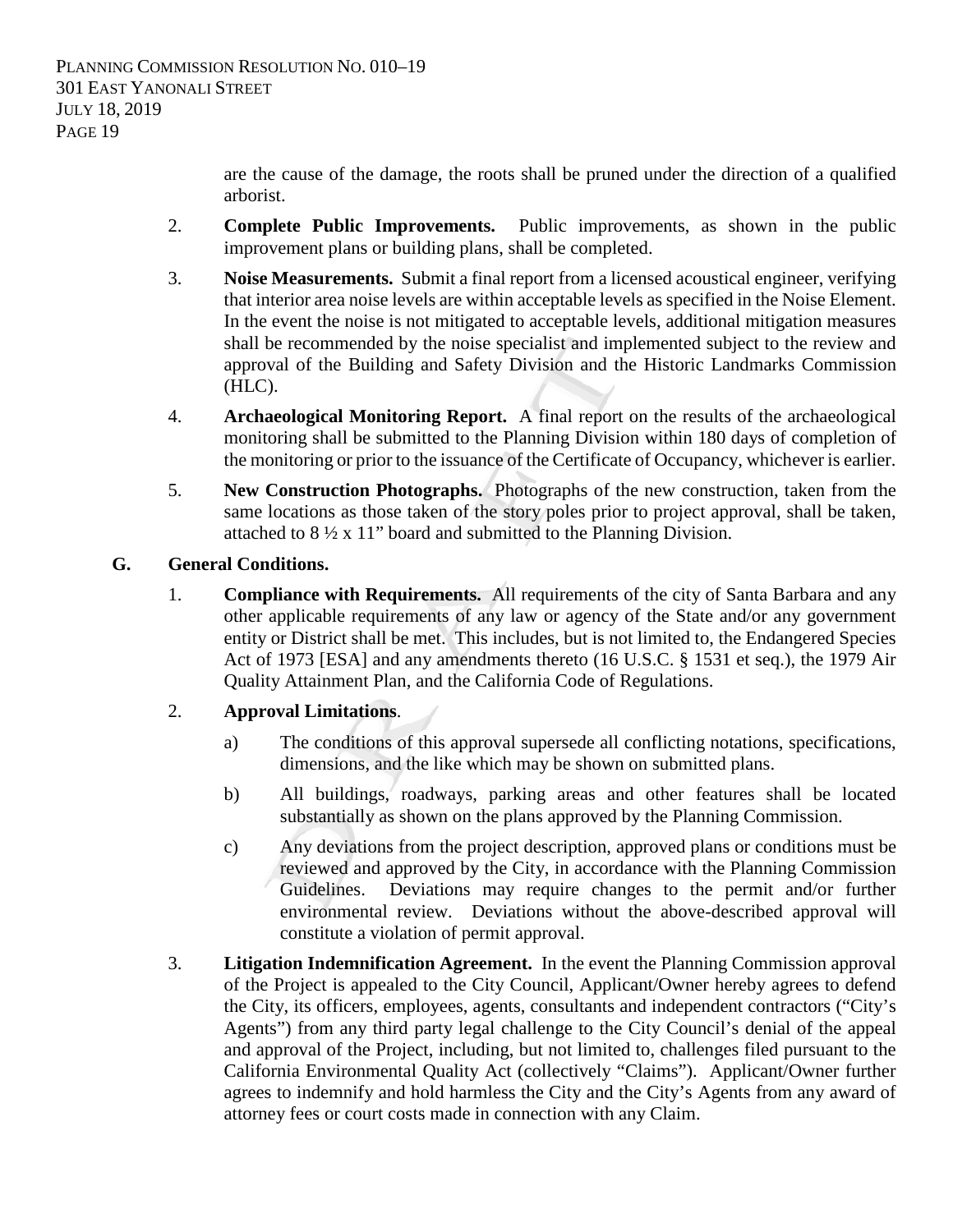are the cause of the damage, the roots shall be pruned under the direction of a qualified arborist.

- 2. **Complete Public Improvements.** Public improvements, as shown in the public improvement plans or building plans, shall be completed.
- 3. **Noise Measurements.** Submit a final report from a licensed acoustical engineer, verifying that interior area noise levels are within acceptable levels as specified in the Noise Element. In the event the noise is not mitigated to acceptable levels, additional mitigation measures shall be recommended by the noise specialist and implemented subject to the review and approval of the Building and Safety Division and the Historic Landmarks Commission (HLC).
- 4. **Archaeological Monitoring Report.** A final report on the results of the archaeological monitoring shall be submitted to the Planning Division within 180 days of completion of the monitoring or prior to the issuance of the Certificate of Occupancy, whichever is earlier.
- 5. **New Construction Photographs.** Photographs of the new construction, taken from the same locations as those taken of the story poles prior to project approval, shall be taken, attached to 8 ½ x 11" board and submitted to the Planning Division.

## **G. General Conditions.**

1. **Compliance with Requirements.** All requirements of the city of Santa Barbara and any other applicable requirements of any law or agency of the State and/or any government entity or District shall be met. This includes, but is not limited to, the Endangered Species Act of 1973 [ESA] and any amendments thereto (16 U.S.C. § 1531 et seq.), the 1979 Air Quality Attainment Plan, and the California Code of Regulations.

# 2. **Approval Limitations**.

- a) The conditions of this approval supersede all conflicting notations, specifications, dimensions, and the like which may be shown on submitted plans.
- b) All buildings, roadways, parking areas and other features shall be located substantially as shown on the plans approved by the Planning Commission.
- c) Any deviations from the project description, approved plans or conditions must be reviewed and approved by the City, in accordance with the Planning Commission Guidelines. Deviations may require changes to the permit and/or further environmental review. Deviations without the above-described approval will constitute a violation of permit approval.
- 3. **Litigation Indemnification Agreement.** In the event the Planning Commission approval of the Project is appealed to the City Council, Applicant/Owner hereby agrees to defend the City, its officers, employees, agents, consultants and independent contractors ("City's Agents") from any third party legal challenge to the City Council's denial of the appeal and approval of the Project, including, but not limited to, challenges filed pursuant to the California Environmental Quality Act (collectively "Claims"). Applicant/Owner further agrees to indemnify and hold harmless the City and the City's Agents from any award of attorney fees or court costs made in connection with any Claim.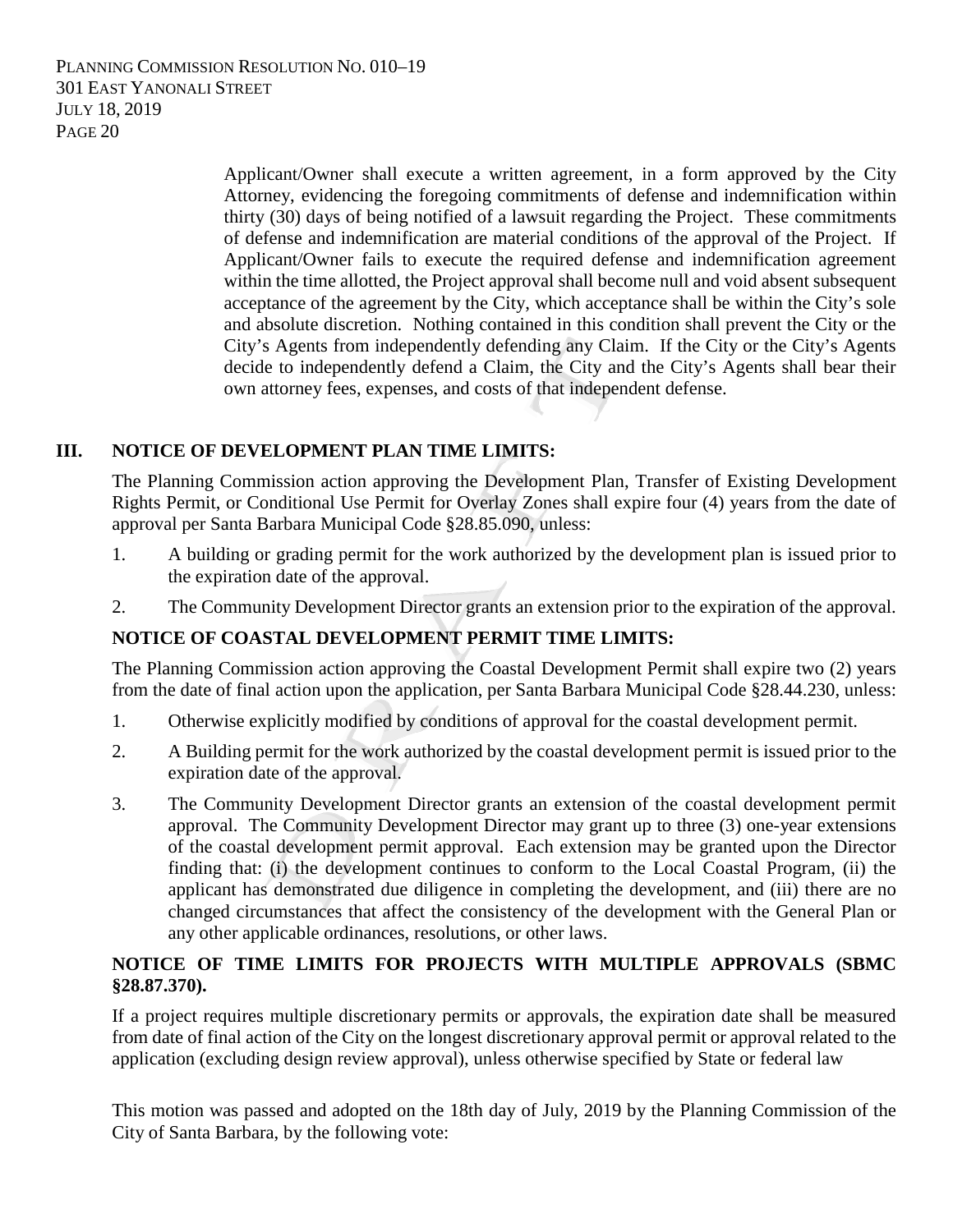> Applicant/Owner shall execute a written agreement, in a form approved by the City Attorney, evidencing the foregoing commitments of defense and indemnification within thirty (30) days of being notified of a lawsuit regarding the Project. These commitments of defense and indemnification are material conditions of the approval of the Project. If Applicant/Owner fails to execute the required defense and indemnification agreement within the time allotted, the Project approval shall become null and void absent subsequent acceptance of the agreement by the City, which acceptance shall be within the City's sole and absolute discretion. Nothing contained in this condition shall prevent the City or the City's Agents from independently defending any Claim. If the City or the City's Agents decide to independently defend a Claim, the City and the City's Agents shall bear their own attorney fees, expenses, and costs of that independent defense.

## **III. NOTICE OF DEVELOPMENT PLAN TIME LIMITS:**

The Planning Commission action approving the Development Plan, Transfer of Existing Development Rights Permit, or Conditional Use Permit for Overlay Zones shall expire four (4) years from the date of approval per Santa Barbara Municipal Code §28.85.090, unless:

- 1. A building or grading permit for the work authorized by the development plan is issued prior to the expiration date of the approval.
- 2. The Community Development Director grants an extension prior to the expiration of the approval.

# **NOTICE OF COASTAL DEVELOPMENT PERMIT TIME LIMITS:**

The Planning Commission action approving the Coastal Development Permit shall expire two (2) years from the date of final action upon the application, per Santa Barbara Municipal Code §28.44.230, unless:

- 1. Otherwise explicitly modified by conditions of approval for the coastal development permit.
- 2. A Building permit for the work authorized by the coastal development permit is issued prior to the expiration date of the approval.
- 3. The Community Development Director grants an extension of the coastal development permit approval. The Community Development Director may grant up to three (3) one-year extensions of the coastal development permit approval. Each extension may be granted upon the Director finding that: (i) the development continues to conform to the Local Coastal Program, (ii) the applicant has demonstrated due diligence in completing the development, and (iii) there are no changed circumstances that affect the consistency of the development with the General Plan or any other applicable ordinances, resolutions, or other laws.

## **NOTICE OF TIME LIMITS FOR PROJECTS WITH MULTIPLE APPROVALS (SBMC §28.87.370).**

If a project requires multiple discretionary permits or approvals, the expiration date shall be measured from date of final action of the City on the longest discretionary approval permit or approval related to the application (excluding design review approval), unless otherwise specified by State or federal law

This motion was passed and adopted on the 18th day of July, 2019 by the Planning Commission of the City of Santa Barbara, by the following vote: